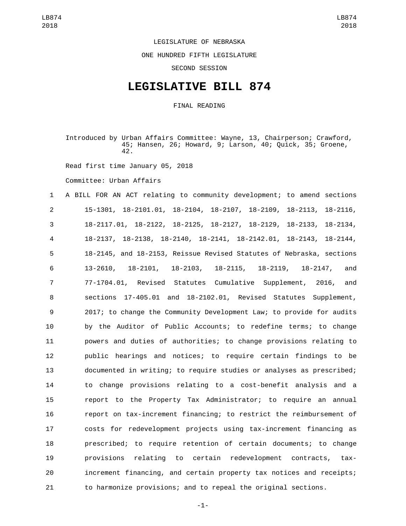## LEGISLATURE OF NEBRASKA

ONE HUNDRED FIFTH LEGISLATURE

SECOND SESSION

## **LEGISLATIVE BILL 874**

FINAL READING

Introduced by Urban Affairs Committee: Wayne, 13, Chairperson; Crawford, 45; Hansen, 26; Howard, 9; Larson, 40; Quick, 35; Groene, 42.

Read first time January 05, 2018

Committee: Urban Affairs

 A BILL FOR AN ACT relating to community development; to amend sections 15-1301, 18-2101.01, 18-2104, 18-2107, 18-2109, 18-2113, 18-2116, 18-2117.01, 18-2122, 18-2125, 18-2127, 18-2129, 18-2133, 18-2134, 18-2137, 18-2138, 18-2140, 18-2141, 18-2142.01, 18-2143, 18-2144, 18-2145, and 18-2153, Reissue Revised Statutes of Nebraska, sections 13-2610, 18-2101, 18-2103, 18-2115, 18-2119, 18-2147, and 77-1704.01, Revised Statutes Cumulative Supplement, 2016, and sections 17-405.01 and 18-2102.01, Revised Statutes Supplement, 2017; to change the Community Development Law; to provide for audits by the Auditor of Public Accounts; to redefine terms; to change powers and duties of authorities; to change provisions relating to public hearings and notices; to require certain findings to be documented in writing; to require studies or analyses as prescribed; to change provisions relating to a cost-benefit analysis and a report to the Property Tax Administrator; to require an annual report on tax-increment financing; to restrict the reimbursement of costs for redevelopment projects using tax-increment financing as prescribed; to require retention of certain documents; to change provisions relating to certain redevelopment contracts, tax- increment financing, and certain property tax notices and receipts; to harmonize provisions; and to repeal the original sections.

-1-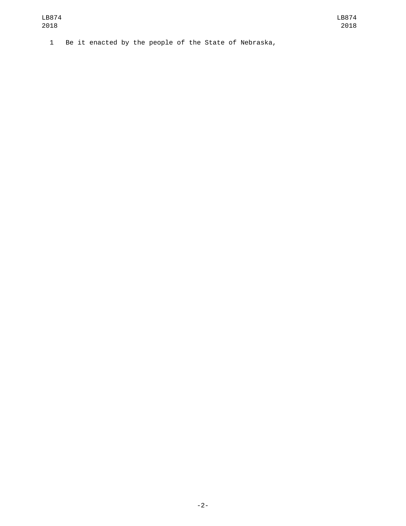1 Be it enacted by the people of the State of Nebraska,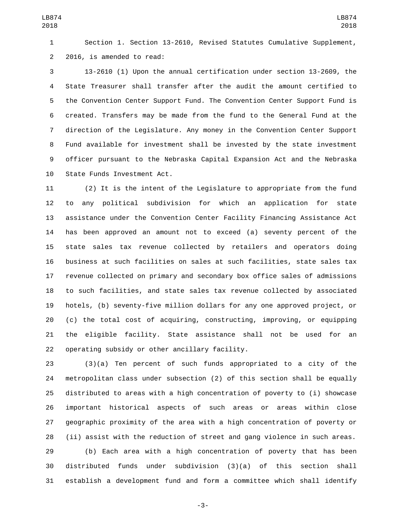Section 1. Section 13-2610, Revised Statutes Cumulative Supplement, 2 2016, is amended to read:

 13-2610 (1) Upon the annual certification under section 13-2609, the State Treasurer shall transfer after the audit the amount certified to the Convention Center Support Fund. The Convention Center Support Fund is created. Transfers may be made from the fund to the General Fund at the direction of the Legislature. Any money in the Convention Center Support Fund available for investment shall be invested by the state investment officer pursuant to the Nebraska Capital Expansion Act and the Nebraska 10 State Funds Investment Act.

 (2) It is the intent of the Legislature to appropriate from the fund to any political subdivision for which an application for state assistance under the Convention Center Facility Financing Assistance Act has been approved an amount not to exceed (a) seventy percent of the state sales tax revenue collected by retailers and operators doing business at such facilities on sales at such facilities, state sales tax revenue collected on primary and secondary box office sales of admissions to such facilities, and state sales tax revenue collected by associated hotels, (b) seventy-five million dollars for any one approved project, or (c) the total cost of acquiring, constructing, improving, or equipping the eligible facility. State assistance shall not be used for an 22 operating subsidy or other ancillary facility.

 (3)(a) Ten percent of such funds appropriated to a city of the metropolitan class under subsection (2) of this section shall be equally distributed to areas with a high concentration of poverty to (i) showcase important historical aspects of such areas or areas within close geographic proximity of the area with a high concentration of poverty or (ii) assist with the reduction of street and gang violence in such areas. (b) Each area with a high concentration of poverty that has been

 distributed funds under subdivision (3)(a) of this section shall establish a development fund and form a committee which shall identify

-3-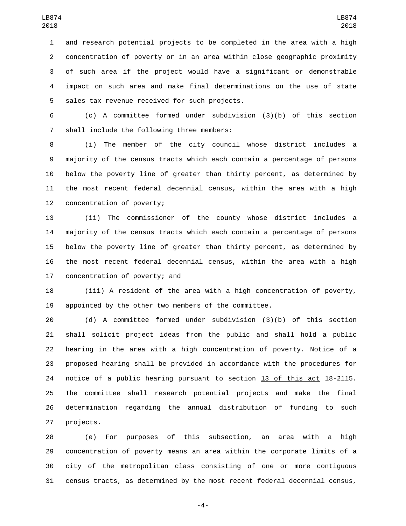and research potential projects to be completed in the area with a high concentration of poverty or in an area within close geographic proximity of such area if the project would have a significant or demonstrable impact on such area and make final determinations on the use of state 5 sales tax revenue received for such projects.

 (c) A committee formed under subdivision (3)(b) of this section 7 shall include the following three members:

 (i) The member of the city council whose district includes a majority of the census tracts which each contain a percentage of persons below the poverty line of greater than thirty percent, as determined by the most recent federal decennial census, within the area with a high 12 concentration of poverty;

 (ii) The commissioner of the county whose district includes a majority of the census tracts which each contain a percentage of persons below the poverty line of greater than thirty percent, as determined by the most recent federal decennial census, within the area with a high 17 concentration of poverty; and

 (iii) A resident of the area with a high concentration of poverty, appointed by the other two members of the committee.

 (d) A committee formed under subdivision (3)(b) of this section shall solicit project ideas from the public and shall hold a public hearing in the area with a high concentration of poverty. Notice of a proposed hearing shall be provided in accordance with the procedures for 24 notice of a public hearing pursuant to section 13 of this act 18-2115. The committee shall research potential projects and make the final determination regarding the annual distribution of funding to such 27 projects.

 (e) For purposes of this subsection, an area with a high concentration of poverty means an area within the corporate limits of a city of the metropolitan class consisting of one or more contiguous census tracts, as determined by the most recent federal decennial census,

-4-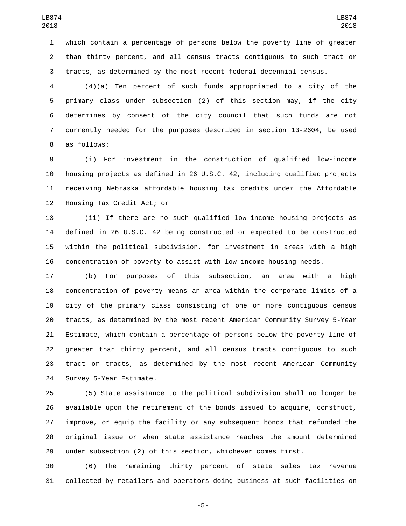which contain a percentage of persons below the poverty line of greater than thirty percent, and all census tracts contiguous to such tract or tracts, as determined by the most recent federal decennial census.

 (4)(a) Ten percent of such funds appropriated to a city of the primary class under subsection (2) of this section may, if the city determines by consent of the city council that such funds are not currently needed for the purposes described in section 13-2604, be used 8 as follows:

 (i) For investment in the construction of qualified low-income housing projects as defined in 26 U.S.C. 42, including qualified projects receiving Nebraska affordable housing tax credits under the Affordable 12 Housing Tax Credit Act; or

 (ii) If there are no such qualified low-income housing projects as defined in 26 U.S.C. 42 being constructed or expected to be constructed within the political subdivision, for investment in areas with a high concentration of poverty to assist with low-income housing needs.

 (b) For purposes of this subsection, an area with a high concentration of poverty means an area within the corporate limits of a city of the primary class consisting of one or more contiguous census tracts, as determined by the most recent American Community Survey 5-Year Estimate, which contain a percentage of persons below the poverty line of greater than thirty percent, and all census tracts contiguous to such tract or tracts, as determined by the most recent American Community 24 Survey 5-Year Estimate.

 (5) State assistance to the political subdivision shall no longer be available upon the retirement of the bonds issued to acquire, construct, improve, or equip the facility or any subsequent bonds that refunded the original issue or when state assistance reaches the amount determined under subsection (2) of this section, whichever comes first.

 (6) The remaining thirty percent of state sales tax revenue collected by retailers and operators doing business at such facilities on

-5-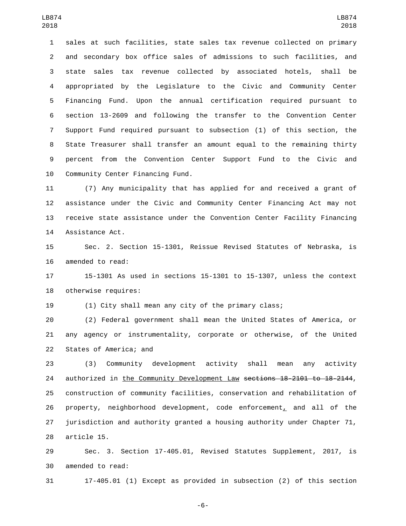sales at such facilities, state sales tax revenue collected on primary and secondary box office sales of admissions to such facilities, and state sales tax revenue collected by associated hotels, shall be appropriated by the Legislature to the Civic and Community Center Financing Fund. Upon the annual certification required pursuant to section 13-2609 and following the transfer to the Convention Center Support Fund required pursuant to subsection (1) of this section, the State Treasurer shall transfer an amount equal to the remaining thirty percent from the Convention Center Support Fund to the Civic and 10 Community Center Financing Fund.

 (7) Any municipality that has applied for and received a grant of assistance under the Civic and Community Center Financing Act may not receive state assistance under the Convention Center Facility Financing 14 Assistance Act.

 Sec. 2. Section 15-1301, Reissue Revised Statutes of Nebraska, is 16 amended to read:

 15-1301 As used in sections 15-1301 to 15-1307, unless the context 18 otherwise requires:

(1) City shall mean any city of the primary class;

 (2) Federal government shall mean the United States of America, or any agency or instrumentality, corporate or otherwise, of the United 22 States of America; and

 (3) Community development activity shall mean any activity 24 authorized in the Community Development Law sections 18-2101 to 18-2144, construction of community facilities, conservation and rehabilitation of property, neighborhood development, code enforcement, and all of the jurisdiction and authority granted a housing authority under Chapter 71, 28 article 15.

 Sec. 3. Section 17-405.01, Revised Statutes Supplement, 2017, is 30 amended to read:

17-405.01 (1) Except as provided in subsection (2) of this section

-6-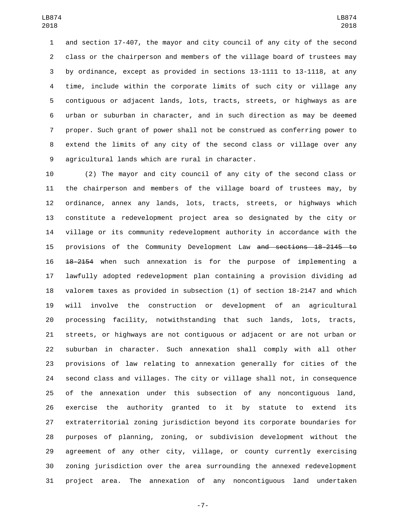and section 17-407, the mayor and city council of any city of the second class or the chairperson and members of the village board of trustees may by ordinance, except as provided in sections 13-1111 to 13-1118, at any time, include within the corporate limits of such city or village any contiguous or adjacent lands, lots, tracts, streets, or highways as are urban or suburban in character, and in such direction as may be deemed proper. Such grant of power shall not be construed as conferring power to extend the limits of any city of the second class or village over any 9 agricultural lands which are rural in character.

 (2) The mayor and city council of any city of the second class or the chairperson and members of the village board of trustees may, by ordinance, annex any lands, lots, tracts, streets, or highways which constitute a redevelopment project area so designated by the city or village or its community redevelopment authority in accordance with the provisions of the Community Development Law and sections 18-2145 to 18-2154 when such annexation is for the purpose of implementing a lawfully adopted redevelopment plan containing a provision dividing ad valorem taxes as provided in subsection (1) of section 18-2147 and which will involve the construction or development of an agricultural processing facility, notwithstanding that such lands, lots, tracts, streets, or highways are not contiguous or adjacent or are not urban or suburban in character. Such annexation shall comply with all other provisions of law relating to annexation generally for cities of the second class and villages. The city or village shall not, in consequence of the annexation under this subsection of any noncontiguous land, exercise the authority granted to it by statute to extend its extraterritorial zoning jurisdiction beyond its corporate boundaries for purposes of planning, zoning, or subdivision development without the agreement of any other city, village, or county currently exercising zoning jurisdiction over the area surrounding the annexed redevelopment project area. The annexation of any noncontiguous land undertaken

-7-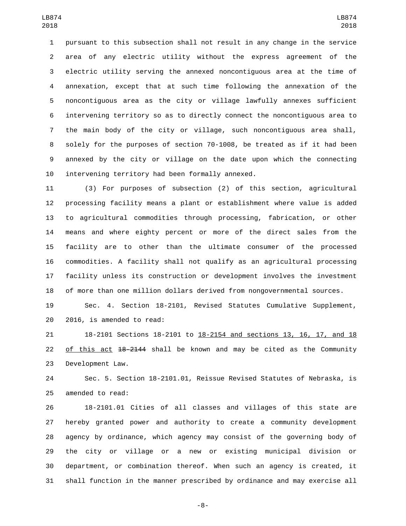pursuant to this subsection shall not result in any change in the service area of any electric utility without the express agreement of the electric utility serving the annexed noncontiguous area at the time of annexation, except that at such time following the annexation of the noncontiguous area as the city or village lawfully annexes sufficient intervening territory so as to directly connect the noncontiguous area to the main body of the city or village, such noncontiguous area shall, solely for the purposes of section 70-1008, be treated as if it had been annexed by the city or village on the date upon which the connecting 10 intervening territory had been formally annexed.

 (3) For purposes of subsection (2) of this section, agricultural processing facility means a plant or establishment where value is added to agricultural commodities through processing, fabrication, or other means and where eighty percent or more of the direct sales from the facility are to other than the ultimate consumer of the processed commodities. A facility shall not qualify as an agricultural processing facility unless its construction or development involves the investment of more than one million dollars derived from nongovernmental sources.

 Sec. 4. Section 18-2101, Revised Statutes Cumulative Supplement, 20 2016, is amended to read:

 18-2101 Sections 18-2101 to 18-2154 and sections 13, 16, 17, and 18 22 of this act  $18-2144$  shall be known and may be cited as the Community 23 Development Law.

 Sec. 5. Section 18-2101.01, Reissue Revised Statutes of Nebraska, is 25 amended to read:

 18-2101.01 Cities of all classes and villages of this state are hereby granted power and authority to create a community development agency by ordinance, which agency may consist of the governing body of the city or village or a new or existing municipal division or department, or combination thereof. When such an agency is created, it shall function in the manner prescribed by ordinance and may exercise all

-8-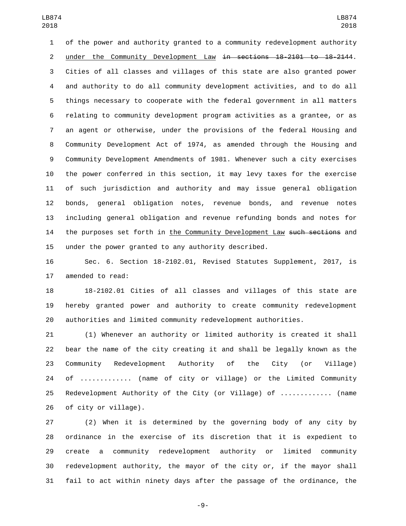of the power and authority granted to a community redevelopment authority 2 under the Community Development Law in sections 18-2101 to 18-2144. Cities of all classes and villages of this state are also granted power and authority to do all community development activities, and to do all things necessary to cooperate with the federal government in all matters relating to community development program activities as a grantee, or as an agent or otherwise, under the provisions of the federal Housing and Community Development Act of 1974, as amended through the Housing and Community Development Amendments of 1981. Whenever such a city exercises the power conferred in this section, it may levy taxes for the exercise of such jurisdiction and authority and may issue general obligation bonds, general obligation notes, revenue bonds, and revenue notes including general obligation and revenue refunding bonds and notes for 14 the purposes set forth in the Community Development Law such sections and under the power granted to any authority described.

 Sec. 6. Section 18-2102.01, Revised Statutes Supplement, 2017, is 17 amended to read:

 18-2102.01 Cities of all classes and villages of this state are hereby granted power and authority to create community redevelopment authorities and limited community redevelopment authorities.

 (1) Whenever an authority or limited authority is created it shall bear the name of the city creating it and shall be legally known as the Community Redevelopment Authority of the City (or Village) of ............. (name of city or village) or the Limited Community Redevelopment Authority of the City (or Village) of ............. (name 26 of city or village).

 (2) When it is determined by the governing body of any city by ordinance in the exercise of its discretion that it is expedient to create a community redevelopment authority or limited community redevelopment authority, the mayor of the city or, if the mayor shall fail to act within ninety days after the passage of the ordinance, the

-9-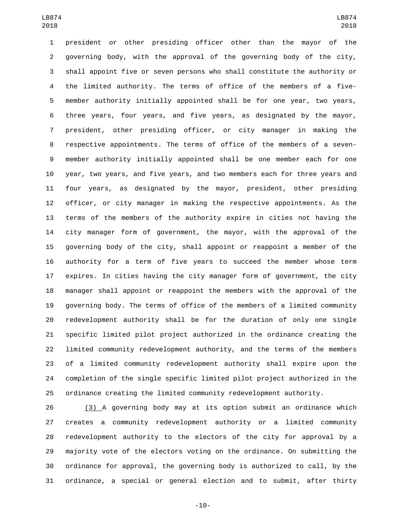president or other presiding officer other than the mayor of the governing body, with the approval of the governing body of the city, shall appoint five or seven persons who shall constitute the authority or the limited authority. The terms of office of the members of a five- member authority initially appointed shall be for one year, two years, three years, four years, and five years, as designated by the mayor, president, other presiding officer, or city manager in making the respective appointments. The terms of office of the members of a seven- member authority initially appointed shall be one member each for one year, two years, and five years, and two members each for three years and four years, as designated by the mayor, president, other presiding officer, or city manager in making the respective appointments. As the terms of the members of the authority expire in cities not having the city manager form of government, the mayor, with the approval of the governing body of the city, shall appoint or reappoint a member of the authority for a term of five years to succeed the member whose term expires. In cities having the city manager form of government, the city manager shall appoint or reappoint the members with the approval of the governing body. The terms of office of the members of a limited community redevelopment authority shall be for the duration of only one single specific limited pilot project authorized in the ordinance creating the limited community redevelopment authority, and the terms of the members of a limited community redevelopment authority shall expire upon the completion of the single specific limited pilot project authorized in the ordinance creating the limited community redevelopment authority.

 (3) A governing body may at its option submit an ordinance which creates a community redevelopment authority or a limited community redevelopment authority to the electors of the city for approval by a majority vote of the electors voting on the ordinance. On submitting the ordinance for approval, the governing body is authorized to call, by the ordinance, a special or general election and to submit, after thirty

-10-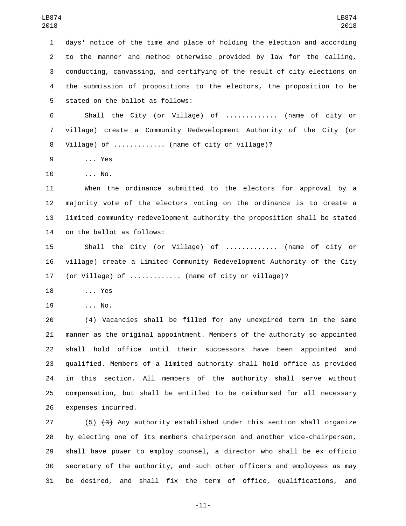days' notice of the time and place of holding the election and according to the manner and method otherwise provided by law for the calling, conducting, canvassing, and certifying of the result of city elections on the submission of propositions to the electors, the proposition to be 5 stated on the ballot as follows: Shall the City (or Village) of ............. (name of city or village) create a Community Redevelopment Authority of the City (or Village) of ............. (name of city or village)? 9 ... Yes 10 ... No. When the ordinance submitted to the electors for approval by a majority vote of the electors voting on the ordinance is to create a limited community redevelopment authority the proposition shall be stated 14 on the ballot as follows: Shall the City (or Village) of ............. (name of city or village) create a Limited Community Redevelopment Authority of the City (or Village) of ............. (name of city or village)? 18 ... Yes 19 ... No.  $(4)$  Vacancies shall be filled for any unexpired term in the same manner as the original appointment. Members of the authority so appointed shall hold office until their successors have been appointed and qualified. Members of a limited authority shall hold office as provided in this section. All members of the authority shall serve without compensation, but shall be entitled to be reimbursed for all necessary 26 expenses incurred.

 (5) (3) Any authority established under this section shall organize by electing one of its members chairperson and another vice-chairperson, shall have power to employ counsel, a director who shall be ex officio secretary of the authority, and such other officers and employees as may be desired, and shall fix the term of office, qualifications, and

-11-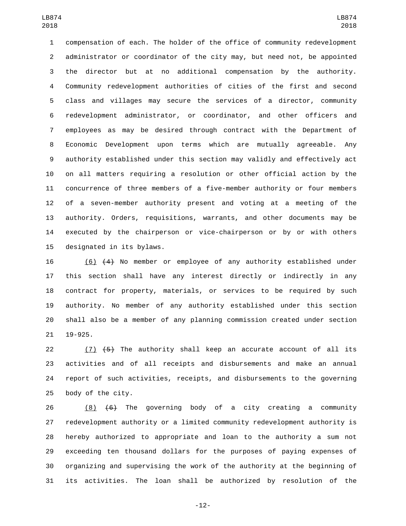compensation of each. The holder of the office of community redevelopment administrator or coordinator of the city may, but need not, be appointed the director but at no additional compensation by the authority. Community redevelopment authorities of cities of the first and second class and villages may secure the services of a director, community redevelopment administrator, or coordinator, and other officers and employees as may be desired through contract with the Department of Economic Development upon terms which are mutually agreeable. Any authority established under this section may validly and effectively act on all matters requiring a resolution or other official action by the concurrence of three members of a five-member authority or four members of a seven-member authority present and voting at a meeting of the authority. Orders, requisitions, warrants, and other documents may be executed by the chairperson or vice-chairperson or by or with others 15 designated in its bylaws.

 (6) (4) No member or employee of any authority established under this section shall have any interest directly or indirectly in any contract for property, materials, or services to be required by such authority. No member of any authority established under this section shall also be a member of any planning commission created under section 21 19-925.

 $(7)$   $(5)$  The authority shall keep an accurate account of all its activities and of all receipts and disbursements and make an annual report of such activities, receipts, and disbursements to the governing 25 body of the city.

 (8) (6) The governing body of a city creating a community redevelopment authority or a limited community redevelopment authority is hereby authorized to appropriate and loan to the authority a sum not exceeding ten thousand dollars for the purposes of paying expenses of organizing and supervising the work of the authority at the beginning of its activities. The loan shall be authorized by resolution of the

-12-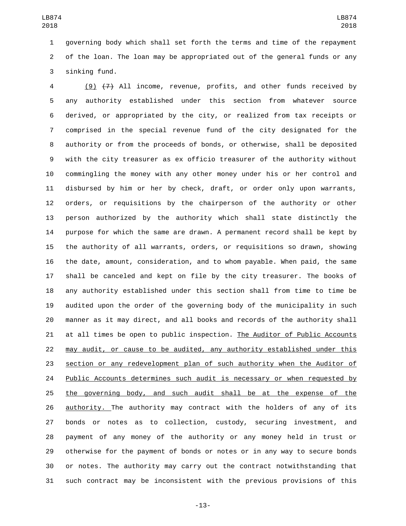governing body which shall set forth the terms and time of the repayment of the loan. The loan may be appropriated out of the general funds or any 3 sinking fund.

 (9) (7) All income, revenue, profits, and other funds received by any authority established under this section from whatever source derived, or appropriated by the city, or realized from tax receipts or comprised in the special revenue fund of the city designated for the authority or from the proceeds of bonds, or otherwise, shall be deposited with the city treasurer as ex officio treasurer of the authority without commingling the money with any other money under his or her control and disbursed by him or her by check, draft, or order only upon warrants, orders, or requisitions by the chairperson of the authority or other person authorized by the authority which shall state distinctly the purpose for which the same are drawn. A permanent record shall be kept by the authority of all warrants, orders, or requisitions so drawn, showing the date, amount, consideration, and to whom payable. When paid, the same shall be canceled and kept on file by the city treasurer. The books of any authority established under this section shall from time to time be audited upon the order of the governing body of the municipality in such manner as it may direct, and all books and records of the authority shall at all times be open to public inspection. The Auditor of Public Accounts may audit, or cause to be audited, any authority established under this section or any redevelopment plan of such authority when the Auditor of 24 Public Accounts determines such audit is necessary or when requested by the governing body, and such audit shall be at the expense of the authority. The authority may contract with the holders of any of its bonds or notes as to collection, custody, securing investment, and payment of any money of the authority or any money held in trust or otherwise for the payment of bonds or notes or in any way to secure bonds or notes. The authority may carry out the contract notwithstanding that such contract may be inconsistent with the previous provisions of this

-13-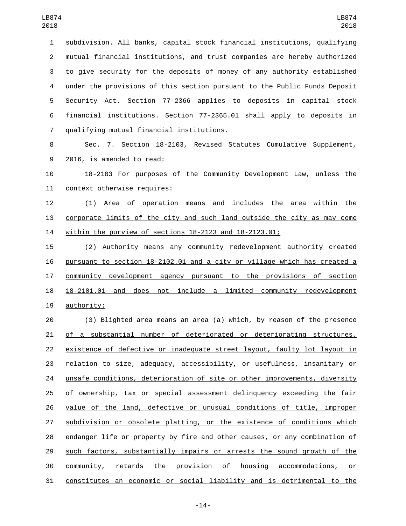subdivision. All banks, capital stock financial institutions, qualifying mutual financial institutions, and trust companies are hereby authorized to give security for the deposits of money of any authority established under the provisions of this section pursuant to the Public Funds Deposit Security Act. Section 77-2366 applies to deposits in capital stock financial institutions. Section 77-2365.01 shall apply to deposits in qualifying mutual financial institutions.7

 Sec. 7. Section 18-2103, Revised Statutes Cumulative Supplement, 9 2016, is amended to read:

 18-2103 For purposes of the Community Development Law, unless the 11 context otherwise requires:

 (1) Area of operation means and includes the area within the corporate limits of the city and such land outside the city as may come within the purview of sections 18-2123 and 18-2123.01;

 (2) Authority means any community redevelopment authority created pursuant to section 18-2102.01 and a city or village which has created a community development agency pursuant to the provisions of section 18-2101.01 and does not include a limited community redevelopment 19 authority;

 (3) Blighted area means an area (a) which, by reason of the presence of a substantial number of deteriorated or deteriorating structures, existence of defective or inadequate street layout, faulty lot layout in relation to size, adequacy, accessibility, or usefulness, insanitary or 24 unsafe conditions, deterioration of site or other improvements, diversity of ownership, tax or special assessment delinquency exceeding the fair value of the land, defective or unusual conditions of title, improper subdivision or obsolete platting, or the existence of conditions which endanger life or property by fire and other causes, or any combination of such factors, substantially impairs or arrests the sound growth of the community, retards the provision of housing accommodations, or constitutes an economic or social liability and is detrimental to the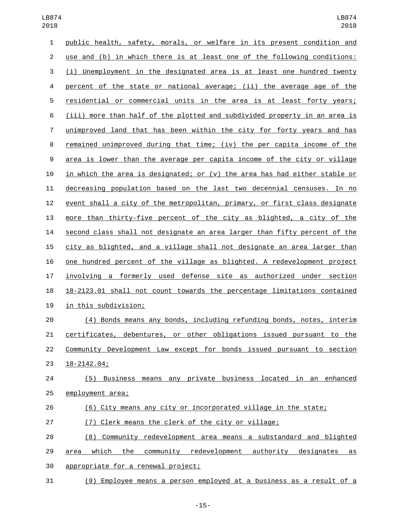| 1              | public health, safety, morals, or welfare in its present condition and         |
|----------------|--------------------------------------------------------------------------------|
| $\overline{2}$ | use and (b) in which there is at least one of the following conditions:        |
| 3              | (i) Unemployment in the designated area is at least one hundred twenty         |
| 4              | percent of the state or national average; (ii) the average age of the          |
| 5              | residential or commercial units in the area is at least forty years;           |
| 6              | (iii) more than half of the plotted and subdivided property in an area is      |
| 7              | unimproved land that has been within the city for forty years and has          |
| 8              | <u>remained unimproved during that time; (iv) the per capita income of the</u> |
| 9              | area is lower than the average per capita income of the city or village        |
| 10             | in which the area is designated; or (v) the area has had either stable or      |
| 11             | decreasing population based on the last two decennial censuses. In no          |
| 12             | event shall a city of the metropolitan, primary, or first class designate      |
| 13             | more than thirty-five percent of the city as blighted, a city of the           |
| 14             | second class shall not designate an area larger than fifty percent of the      |
| 15             | city as blighted, and a village shall not designate an area larger than        |
| 16             | one hundred percent of the village as blighted. A redevelopment project        |
| 17             | involving a formerly used defense site as authorized under section             |
| 18             | 18-2123.01 shall not count towards the percentage limitations contained        |
| 19             | in this subdivision;                                                           |
| 20             | (4) Bonds means any bonds, including refunding bonds, notes, interim           |
| 21             | certificates, debentures, or other obligations issued pursuant to the          |
| 22             | Community Development Law except for bonds issued pursuant to section          |
| 23             | $18 - 2142.04;$                                                                |
| 24             | (5) Business means any private business located in an enhanced                 |
| 25             | employment area;                                                               |
| 26             | (6) City means any city or incorporated village in the state;                  |
| 27             | (7) Clerk means the clerk of the city or village;                              |
| 28             | (8) Community redevelopment area means a substandard and blighted              |
| 29             | the community redevelopment authority designates<br><u>which</u><br>area<br>as |
| 30             | appropriate for a renewal project;                                             |

(9) Employee means a person employed at a business as a result of a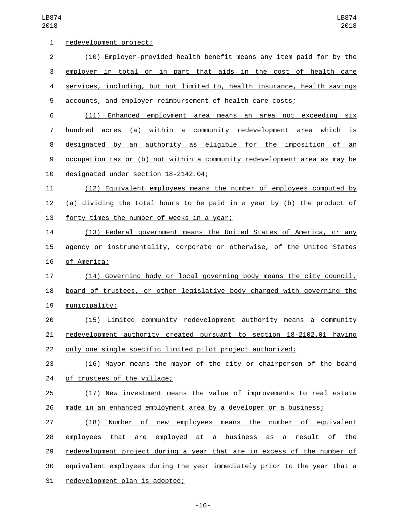LB874 

| 1  | redevelopment project;                                                    |
|----|---------------------------------------------------------------------------|
| 2  | (10) Employer-provided health benefit means any item paid for by the      |
| 3  | employer in total or in part that aids in the cost of health care         |
| 4  | services, including, but not limited to, health insurance, health savings |
| 5  | accounts, and employer reimbursement of health care costs;                |
| 6  | (11)<br>Enhanced employment area means an area not exceeding six          |
| 7  | hundred acres (a) within a community redevelopment area which is          |
| 8  | designated by an authority as eligible for the imposition of<br>an        |
| 9  | occupation tax or (b) not within a community redevelopment area as may be |
| 10 | designated under section 18-2142.04;                                      |
| 11 | (12) Equivalent employees means the number of employees computed by       |
| 12 | (a) dividing the total hours to be paid in a year by (b) the product of   |
| 13 | forty times the number of weeks in a year;                                |
| 14 | (13) Federal government means the United States of America, or any        |
| 15 | agency or instrumentality, corporate or otherwise, of the United States   |
| 16 | of America;                                                               |
| 17 | (14) Governing body or local governing body means the city council,       |
| 18 | board of trustees, or other legislative body charged with governing the   |
| 19 | municipality;                                                             |
| 20 | (15) Limited community redevelopment authority means a community          |
| 21 | redevelopment authority created pursuant to section 18-2102.01 having     |
| 22 | only one single specific limited pilot project authorized;                |
| 23 | (16) Mayor means the mayor of the city or chairperson of the board        |
| 24 | of trustees of the village;                                               |
| 25 | (17) New investment means the value of improvements to real estate        |
| 26 | made in an enhanced employment area by a developer or a business;         |
| 27 | Number of new employees means the number of equivalent<br>(18)            |
| 28 | employees that are employed at a business as a result of the              |
| 29 | redevelopment project during a year that are in excess of the number of   |
| 30 | equivalent employees during the year immediately prior to the year that a |
| 31 | redevelopment plan is adopted;                                            |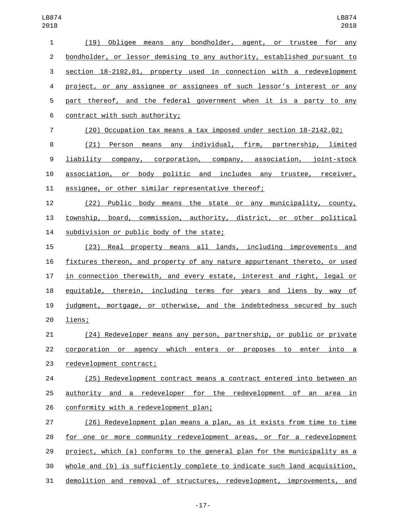| (19) Obligee means any bondholder, agent, or trustee for any              |
|---------------------------------------------------------------------------|
|                                                                           |
| bondholder, or lessor demising to any authority, established pursuant to  |
| section 18-2102.01, property used in connection with a redevelopment      |
| project, or any assignee or assignees of such lessor's interest or any    |
| part thereof, and the federal government when it is a party to any        |
| contract with such authority;                                             |
| (20) Occupation tax means a tax imposed under section 18-2142.02;         |
| (21) Person means any individual, firm, partnership, limited              |
| liability company, corporation, company, association, joint-stock         |
| association, or body politic and includes any trustee, receiver,          |
| assignee, or other similar representative thereof;                        |
| (22) Public body means the state or any municipality, county,             |
| township, board, commission, authority, district, or other political      |
| subdivision or public body of the state;                                  |
| (23) Real property means all lands, including improvements and            |
| fixtures thereon, and property of any nature appurtenant thereto, or used |
| in connection therewith, and every estate, interest and right, legal or   |
| equitable, therein, including terms for years and liens by way of         |
| judgment, mortgage, or otherwise, and the indebtedness secured by such    |
| liens;                                                                    |
| (24) Redeveloper means any person, partnership, or public or private      |
| corporation or agency which enters or proposes to enter into a            |
| redevelopment contract;                                                   |
| (25) Redevelopment contract means a contract entered into between an      |
| authority and a redeveloper for the redevelopment of an area in           |
| conformity with a redevelopment plan;                                     |
| (26) Redevelopment plan means a plan, as it exists from time to time      |
| for one or more community redevelopment areas, or for a redevelopment     |
| project, which (a) conforms to the general plan for the municipality as a |
| whole and (b) is sufficiently complete to indicate such land acquisition, |
|                                                                           |

demolition and removal of structures, redevelopment, improvements, and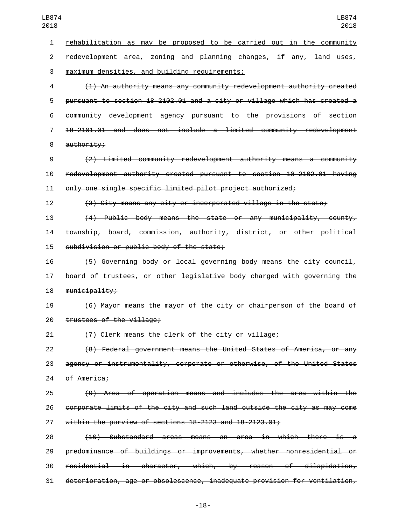rehabilitation as may be proposed to be carried out in the community redevelopment area, zoning and planning changes, if any, land uses, 3 maximum densities, and building requirements; (1) An authority means any community redevelopment authority created pursuant to section 18-2102.01 and a city or village which has created a community development agency pursuant to the provisions of section 18-2101.01 and does not include a limited community redevelopment 8 authority; (2) Limited community redevelopment authority means a community redevelopment authority created pursuant to section 18-2102.01 having only one single specific limited pilot project authorized; (3) City means any city or incorporated village in the state; (4) Public body means the state or any municipality, county, township, board, commission, authority, district, or other political 15 subdivision or public body of the state; (5) Governing body or local governing body means the city council, board of trustees, or other legislative body charged with governing the 18 municipality; (6) Mayor means the mayor of the city or chairperson of the board of 20 trustees of the village; (7) Clerk means the clerk of the city or village; (8) Federal government means the United States of America, or any agency or instrumentality, corporate or otherwise, of the United States 24 of America; (9) Area of operation means and includes the area within the corporate limits of the city and such land outside the city as may come within the purview of sections 18-2123 and 18-2123.01; (10) Substandard areas means an area in which there is a predominance of buildings or improvements, whether nonresidential or residential in character, which, by reason of dilapidation, deterioration, age or obsolescence, inadequate provision for ventilation,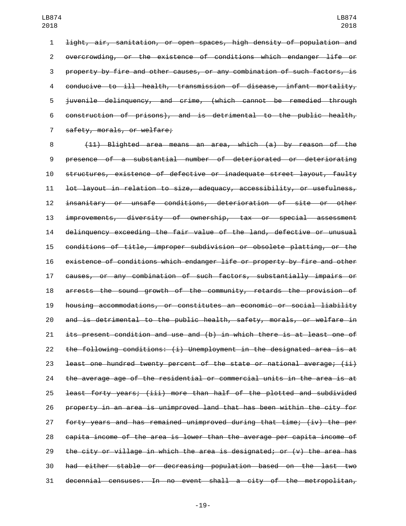light, air, sanitation, or open spaces, high density of population and overcrowding, or the existence of conditions which endanger life or property by fire and other causes, or any combination of such factors, is conducive to ill health, transmission of disease, infant mortality, juvenile delinquency, and crime, (which cannot be remedied through construction of prisons), and is detrimental to the public health, 7 safety, morals, or welfare;

 (11) Blighted area means an area, which (a) by reason of the presence of a substantial number of deteriorated or deteriorating structures, existence of defective or inadequate street layout, faulty lot layout in relation to size, adequacy, accessibility, or usefulness, insanitary or unsafe conditions, deterioration of site or other improvements, diversity of ownership, tax or special assessment delinquency exceeding the fair value of the land, defective or unusual conditions of title, improper subdivision or obsolete platting, or the existence of conditions which endanger life or property by fire and other causes, or any combination of such factors, substantially impairs or arrests the sound growth of the community, retards the provision of housing accommodations, or constitutes an economic or social liability and is detrimental to the public health, safety, morals, or welfare in its present condition and use and (b) in which there is at least one of the following conditions: (i) Unemployment in the designated area is at least one hundred twenty percent of the state or national average; (ii) the average age of the residential or commercial units in the area is at least forty years; (iii) more than half of the plotted and subdivided property in an area is unimproved land that has been within the city for forty years and has remained unimproved during that time; (iv) the per capita income of the area is lower than the average per capita income of 29 the city or  $v$ illage in which the area is designated; or  $(v)$  the area has had either stable or decreasing population based on the last two decennial censuses. In no event shall a city of the metropolitan,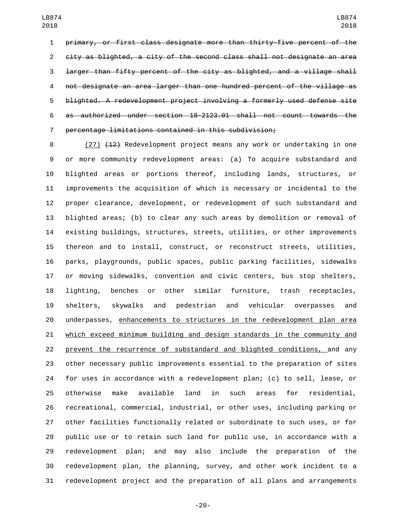primary, or first class designate more than thirty-five percent of the city as blighted, a city of the second class shall not designate an area larger than fifty percent of the city as blighted, and a village shall not designate an area larger than one hundred percent of the village as blighted. A redevelopment project involving a formerly used defense site as authorized under section 18-2123.01 shall not count towards the percentage limitations contained in this subdivision;

8 (27) (12) Redevelopment project means any work or undertaking in one or more community redevelopment areas: (a) To acquire substandard and blighted areas or portions thereof, including lands, structures, or improvements the acquisition of which is necessary or incidental to the proper clearance, development, or redevelopment of such substandard and blighted areas; (b) to clear any such areas by demolition or removal of existing buildings, structures, streets, utilities, or other improvements thereon and to install, construct, or reconstruct streets, utilities, parks, playgrounds, public spaces, public parking facilities, sidewalks or moving sidewalks, convention and civic centers, bus stop shelters, lighting, benches or other similar furniture, trash receptacles, shelters, skywalks and pedestrian and vehicular overpasses and underpasses, enhancements to structures in the redevelopment plan area which exceed minimum building and design standards in the community and prevent the recurrence of substandard and blighted conditions, and any other necessary public improvements essential to the preparation of sites for uses in accordance with a redevelopment plan; (c) to sell, lease, or otherwise make available land in such areas for residential, recreational, commercial, industrial, or other uses, including parking or other facilities functionally related or subordinate to such uses, or for public use or to retain such land for public use, in accordance with a redevelopment plan; and may also include the preparation of the redevelopment plan, the planning, survey, and other work incident to a redevelopment project and the preparation of all plans and arrangements

-20-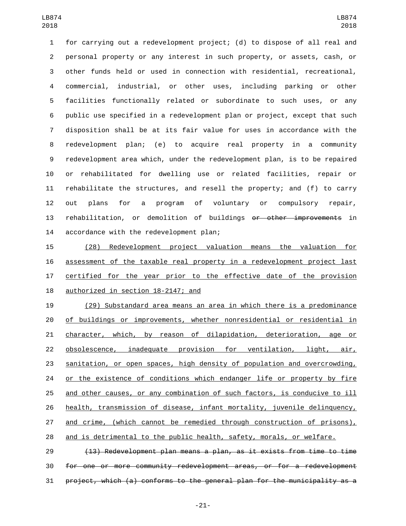for carrying out a redevelopment project; (d) to dispose of all real and personal property or any interest in such property, or assets, cash, or other funds held or used in connection with residential, recreational, commercial, industrial, or other uses, including parking or other facilities functionally related or subordinate to such uses, or any public use specified in a redevelopment plan or project, except that such disposition shall be at its fair value for uses in accordance with the redevelopment plan; (e) to acquire real property in a community redevelopment area which, under the redevelopment plan, is to be repaired or rehabilitated for dwelling use or related facilities, repair or rehabilitate the structures, and resell the property; and (f) to carry out plans for a program of voluntary or compulsory repair, rehabilitation, or demolition of buildings or other improvements in 14 accordance with the redevelopment plan;

 (28) Redevelopment project valuation means the valuation for assessment of the taxable real property in a redevelopment project last certified for the year prior to the effective date of the provision 18 authorized in section 18-2147; and

 (29) Substandard area means an area in which there is a predominance 20 of buildings or improvements, whether nonresidential or residential in character, which, by reason of dilapidation, deterioration, age or obsolescence, inadequate provision for ventilation, light, air, sanitation, or open spaces, high density of population and overcrowding, 24 or the existence of conditions which endanger life or property by fire and other causes, or any combination of such factors, is conducive to ill health, transmission of disease, infant mortality, juvenile delinquency, and crime, (which cannot be remedied through construction of prisons), and is detrimental to the public health, safety, morals, or welfare.

 (13) Redevelopment plan means a plan, as it exists from time to time for one or more community redevelopment areas, or for a redevelopment project, which (a) conforms to the general plan for the municipality as a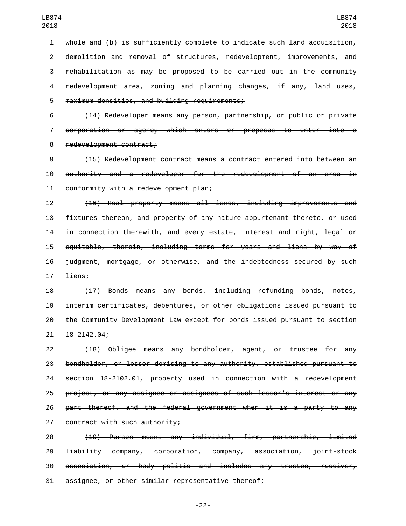whole and (b) is sufficiently complete to indicate such land acquisition, demolition and removal of structures, redevelopment, improvements, and rehabilitation as may be proposed to be carried out in the community redevelopment area, zoning and planning changes, if any, land uses, 5 maximum densities, and building requirements;

 (14) Redeveloper means any person, partnership, or public or private corporation or agency which enters or proposes to enter into a 8 redevelopment contract;

 (15) Redevelopment contract means a contract entered into between an authority and a redeveloper for the redevelopment of an area in 11 conformity with a redevelopment plan;

 (16) Real property means all lands, including improvements and fixtures thereon, and property of any nature appurtenant thereto, or used in connection therewith, and every estate, interest and right, legal or equitable, therein, including terms for years and liens by way of judgment, mortgage, or otherwise, and the indebtedness secured by such 17 <del>liens;</del>

 (17) Bonds means any bonds, including refunding bonds, notes, interim certificates, debentures, or other obligations issued pursuant to the Community Development Law except for bonds issued pursuant to section  $21 \quad 18 - 2142.04;$ 

 (18) Obligee means any bondholder, agent, or trustee for any bondholder, or lessor demising to any authority, established pursuant to section 18-2102.01, property used in connection with a redevelopment project, or any assignee or assignees of such lessor's interest or any part thereof, and the federal government when it is a party to any contract with such authority;

 (19) Person means any individual, firm, partnership, limited liability company, corporation, company, association, joint-stock association, or body politic and includes any trustee, receiver, assignee, or other similar representative thereof;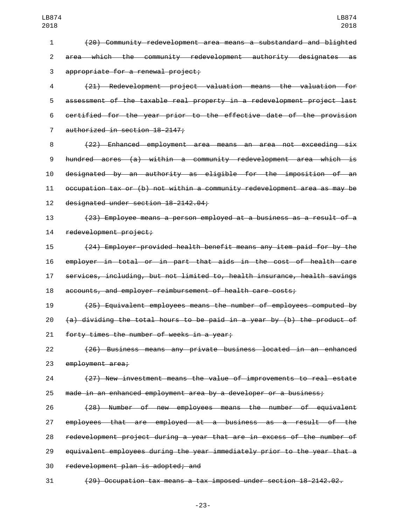(20) Community redevelopment area means a substandard and blighted area which the community redevelopment authority designates as 3 appropriate for a renewal project; (21) Redevelopment project valuation means the valuation for assessment of the taxable real property in a redevelopment project last certified for the year prior to the effective date of the provision 7 authorized in section 18-2147; (22) Enhanced employment area means an area not exceeding six hundred acres (a) within a community redevelopment area which is designated by an authority as eligible for the imposition of an occupation tax or (b) not within a community redevelopment area as may be 12 designated under section 18-2142.04; (23) Employee means a person employed at a business as a result of a 14 redevelopment project; (24) Employer-provided health benefit means any item paid for by the employer in total or in part that aids in the cost of health care services, including, but not limited to, health insurance, health savings accounts, and employer reimbursement of health care costs; (25) Equivalent employees means the number of employees computed by  $(a)$  dividing the total hours to be paid in a year by (b) the product of 21 forty times the number of weeks in a year; (26) Business means any private business located in an enhanced 23 employment area; (27) New investment means the value of improvements to real estate made in an enhanced employment area by a developer or a business; (28) Number of new employees means the number of equivalent employees that are employed at a business as a result of the redevelopment project during a year that are in excess of the number of equivalent employees during the year immediately prior to the year that a 30 redevelopment plan is adopted; and (29) Occupation tax means a tax imposed under section 18-2142.02.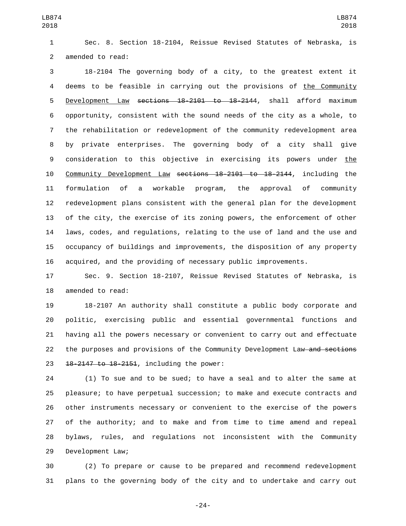Sec. 8. Section 18-2104, Reissue Revised Statutes of Nebraska, is 2 amended to read:

 18-2104 The governing body of a city, to the greatest extent it deems to be feasible in carrying out the provisions of the Community 5 Development Law sections 18-2101 to 18-2144, shall afford maximum opportunity, consistent with the sound needs of the city as a whole, to the rehabilitation or redevelopment of the community redevelopment area by private enterprises. The governing body of a city shall give consideration to this objective in exercising its powers under the Community Development Law sections 18-2101 to 18-2144, including the formulation of a workable program, the approval of community redevelopment plans consistent with the general plan for the development of the city, the exercise of its zoning powers, the enforcement of other laws, codes, and regulations, relating to the use of land and the use and occupancy of buildings and improvements, the disposition of any property acquired, and the providing of necessary public improvements.

 Sec. 9. Section 18-2107, Reissue Revised Statutes of Nebraska, is 18 amended to read:

 18-2107 An authority shall constitute a public body corporate and politic, exercising public and essential governmental functions and having all the powers necessary or convenient to carry out and effectuate 22 the purposes and provisions of the Community Development Law and sections  $18-2147$  to  $18-2151$ , including the power:

 (1) To sue and to be sued; to have a seal and to alter the same at pleasure; to have perpetual succession; to make and execute contracts and other instruments necessary or convenient to the exercise of the powers of the authority; and to make and from time to time amend and repeal bylaws, rules, and regulations not inconsistent with the Community 29 Development Law;

 (2) To prepare or cause to be prepared and recommend redevelopment plans to the governing body of the city and to undertake and carry out

-24-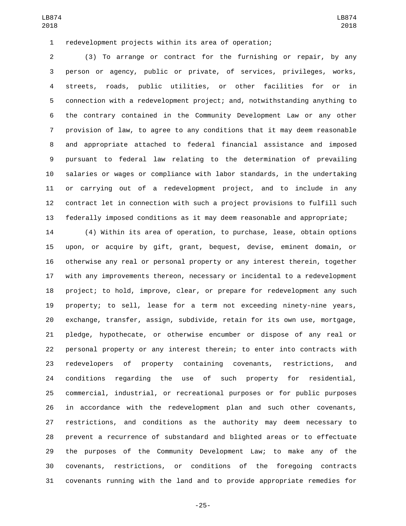redevelopment projects within its area of operation;

 (3) To arrange or contract for the furnishing or repair, by any person or agency, public or private, of services, privileges, works, streets, roads, public utilities, or other facilities for or in connection with a redevelopment project; and, notwithstanding anything to the contrary contained in the Community Development Law or any other provision of law, to agree to any conditions that it may deem reasonable and appropriate attached to federal financial assistance and imposed pursuant to federal law relating to the determination of prevailing salaries or wages or compliance with labor standards, in the undertaking or carrying out of a redevelopment project, and to include in any contract let in connection with such a project provisions to fulfill such federally imposed conditions as it may deem reasonable and appropriate;

 (4) Within its area of operation, to purchase, lease, obtain options upon, or acquire by gift, grant, bequest, devise, eminent domain, or otherwise any real or personal property or any interest therein, together with any improvements thereon, necessary or incidental to a redevelopment project; to hold, improve, clear, or prepare for redevelopment any such property; to sell, lease for a term not exceeding ninety-nine years, exchange, transfer, assign, subdivide, retain for its own use, mortgage, pledge, hypothecate, or otherwise encumber or dispose of any real or personal property or any interest therein; to enter into contracts with redevelopers of property containing covenants, restrictions, and conditions regarding the use of such property for residential, commercial, industrial, or recreational purposes or for public purposes in accordance with the redevelopment plan and such other covenants, restrictions, and conditions as the authority may deem necessary to prevent a recurrence of substandard and blighted areas or to effectuate the purposes of the Community Development Law; to make any of the covenants, restrictions, or conditions of the foregoing contracts covenants running with the land and to provide appropriate remedies for

-25-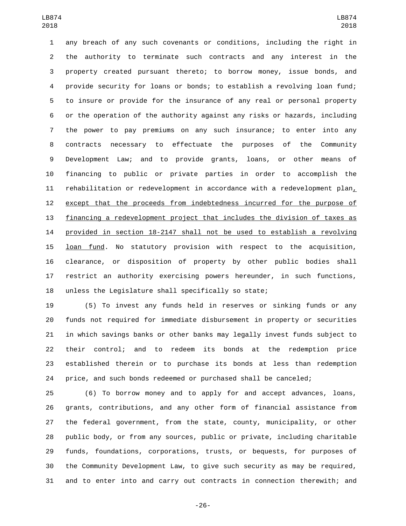any breach of any such covenants or conditions, including the right in the authority to terminate such contracts and any interest in the property created pursuant thereto; to borrow money, issue bonds, and provide security for loans or bonds; to establish a revolving loan fund; to insure or provide for the insurance of any real or personal property or the operation of the authority against any risks or hazards, including the power to pay premiums on any such insurance; to enter into any contracts necessary to effectuate the purposes of the Community Development Law; and to provide grants, loans, or other means of financing to public or private parties in order to accomplish the rehabilitation or redevelopment in accordance with a redevelopment plan, except that the proceeds from indebtedness incurred for the purpose of financing a redevelopment project that includes the division of taxes as provided in section 18-2147 shall not be used to establish a revolving loan fund. No statutory provision with respect to the acquisition, clearance, or disposition of property by other public bodies shall restrict an authority exercising powers hereunder, in such functions, unless the Legislature shall specifically so state;

 (5) To invest any funds held in reserves or sinking funds or any funds not required for immediate disbursement in property or securities in which savings banks or other banks may legally invest funds subject to their control; and to redeem its bonds at the redemption price established therein or to purchase its bonds at less than redemption price, and such bonds redeemed or purchased shall be canceled;

 (6) To borrow money and to apply for and accept advances, loans, grants, contributions, and any other form of financial assistance from the federal government, from the state, county, municipality, or other public body, or from any sources, public or private, including charitable funds, foundations, corporations, trusts, or bequests, for purposes of the Community Development Law, to give such security as may be required, and to enter into and carry out contracts in connection therewith; and

-26-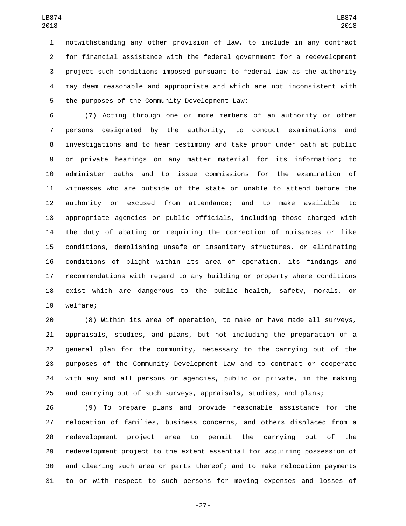notwithstanding any other provision of law, to include in any contract for financial assistance with the federal government for a redevelopment project such conditions imposed pursuant to federal law as the authority may deem reasonable and appropriate and which are not inconsistent with 5 the purposes of the Community Development Law;

 (7) Acting through one or more members of an authority or other persons designated by the authority, to conduct examinations and investigations and to hear testimony and take proof under oath at public or private hearings on any matter material for its information; to administer oaths and to issue commissions for the examination of witnesses who are outside of the state or unable to attend before the authority or excused from attendance; and to make available to appropriate agencies or public officials, including those charged with the duty of abating or requiring the correction of nuisances or like conditions, demolishing unsafe or insanitary structures, or eliminating conditions of blight within its area of operation, its findings and recommendations with regard to any building or property where conditions exist which are dangerous to the public health, safety, morals, or 19 welfare;

 (8) Within its area of operation, to make or have made all surveys, appraisals, studies, and plans, but not including the preparation of a general plan for the community, necessary to the carrying out of the purposes of the Community Development Law and to contract or cooperate with any and all persons or agencies, public or private, in the making and carrying out of such surveys, appraisals, studies, and plans;

 (9) To prepare plans and provide reasonable assistance for the relocation of families, business concerns, and others displaced from a redevelopment project area to permit the carrying out of the redevelopment project to the extent essential for acquiring possession of and clearing such area or parts thereof; and to make relocation payments to or with respect to such persons for moving expenses and losses of

-27-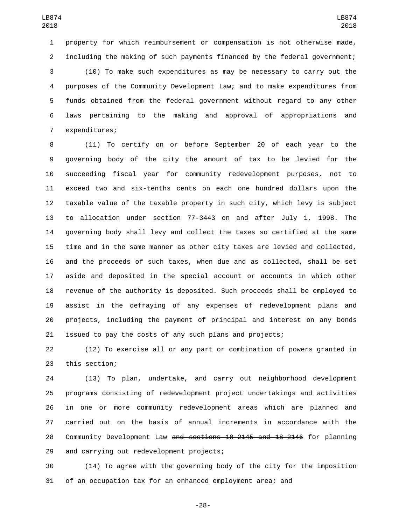property for which reimbursement or compensation is not otherwise made, including the making of such payments financed by the federal government;

 (10) To make such expenditures as may be necessary to carry out the purposes of the Community Development Law; and to make expenditures from funds obtained from the federal government without regard to any other laws pertaining to the making and approval of appropriations and 7 expenditures;

 (11) To certify on or before September 20 of each year to the governing body of the city the amount of tax to be levied for the succeeding fiscal year for community redevelopment purposes, not to exceed two and six-tenths cents on each one hundred dollars upon the taxable value of the taxable property in such city, which levy is subject to allocation under section 77-3443 on and after July 1, 1998. The governing body shall levy and collect the taxes so certified at the same time and in the same manner as other city taxes are levied and collected, and the proceeds of such taxes, when due and as collected, shall be set aside and deposited in the special account or accounts in which other revenue of the authority is deposited. Such proceeds shall be employed to assist in the defraying of any expenses of redevelopment plans and projects, including the payment of principal and interest on any bonds issued to pay the costs of any such plans and projects;

 (12) To exercise all or any part or combination of powers granted in 23 this section;

 (13) To plan, undertake, and carry out neighborhood development programs consisting of redevelopment project undertakings and activities in one or more community redevelopment areas which are planned and carried out on the basis of annual increments in accordance with the Community Development Law and sections 18-2145 and 18-2146 for planning 29 and carrying out redevelopment projects;

 (14) To agree with the governing body of the city for the imposition of an occupation tax for an enhanced employment area; and

-28-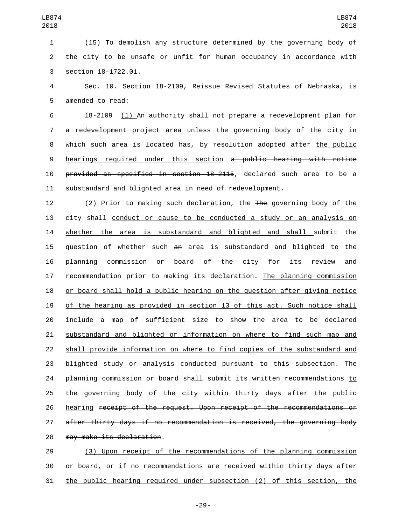(15) To demolish any structure determined by the governing body of the city to be unsafe or unfit for human occupancy in accordance with 3 section 18-1722.01.

 Sec. 10. Section 18-2109, Reissue Revised Statutes of Nebraska, is 5 amended to read:

 18-2109 (1) An authority shall not prepare a redevelopment plan for a redevelopment project area unless the governing body of the city in which such area is located has, by resolution adopted after the public hearings required under this section a public hearing with notice provided as specified in section 18-2115, declared such area to be a substandard and blighted area in need of redevelopment.

 (2) Prior to making such declaration, the The governing body of the city shall conduct or cause to be conducted a study or an analysis on whether the area is substandard and blighted and shall submit the question of whether such an area is substandard and blighted to the planning commission or board of the city for its review and 17 recommendation-prior to making its declaration. The planning commission or board shall hold a public hearing on the question after giving notice of the hearing as provided in section 13 of this act. Such notice shall include a map of sufficient size to show the area to be declared substandard and blighted or information on where to find such map and shall provide information on where to find copies of the substandard and blighted study or analysis conducted pursuant to this subsection. The planning commission or board shall submit its written recommendations to the governing body of the city within thirty days after the public hearing receipt of the request. Upon receipt of the recommendations or after thirty days if no recommendation is received, the governing body 28 may make its declaration.

 (3) Upon receipt of the recommendations of the planning commission or board, or if no recommendations are received within thirty days after the public hearing required under subsection (2) of this section, the

-29-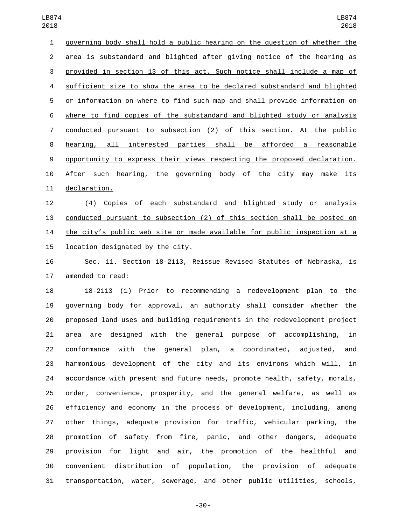governing body shall hold a public hearing on the question of whether the area is substandard and blighted after giving notice of the hearing as provided in section 13 of this act. Such notice shall include a map of sufficient size to show the area to be declared substandard and blighted or information on where to find such map and shall provide information on where to find copies of the substandard and blighted study or analysis conducted pursuant to subsection (2) of this section. At the public hearing, all interested parties shall be afforded a reasonable opportunity to express their views respecting the proposed declaration. After such hearing, the governing body of the city may make its 11 declaration. (4) Copies of each substandard and blighted study or analysis

 conducted pursuant to subsection (2) of this section shall be posted on the city's public web site or made available for public inspection at a 15 location designated by the city.

 Sec. 11. Section 18-2113, Reissue Revised Statutes of Nebraska, is 17 amended to read:

 18-2113 (1) Prior to recommending a redevelopment plan to the governing body for approval, an authority shall consider whether the proposed land uses and building requirements in the redevelopment project area are designed with the general purpose of accomplishing, in conformance with the general plan, a coordinated, adjusted, and harmonious development of the city and its environs which will, in accordance with present and future needs, promote health, safety, morals, order, convenience, prosperity, and the general welfare, as well as efficiency and economy in the process of development, including, among other things, adequate provision for traffic, vehicular parking, the promotion of safety from fire, panic, and other dangers, adequate provision for light and air, the promotion of the healthful and convenient distribution of population, the provision of adequate transportation, water, sewerage, and other public utilities, schools,

-30-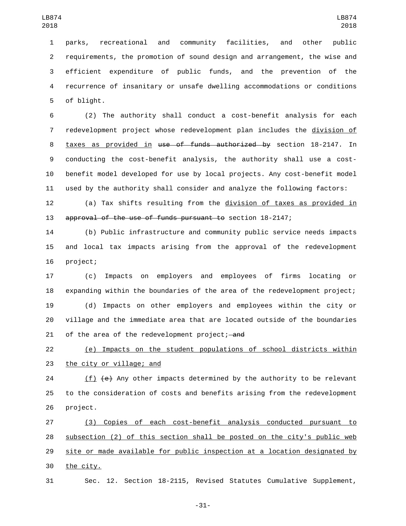parks, recreational and community facilities, and other public requirements, the promotion of sound design and arrangement, the wise and efficient expenditure of public funds, and the prevention of the recurrence of insanitary or unsafe dwelling accommodations or conditions 5 of blight.

 (2) The authority shall conduct a cost-benefit analysis for each redevelopment project whose redevelopment plan includes the division of 8 taxes as provided in use of funds authorized by section 18-2147. In conducting the cost-benefit analysis, the authority shall use a cost- benefit model developed for use by local projects. Any cost-benefit model used by the authority shall consider and analyze the following factors:

 (a) Tax shifts resulting from the division of taxes as provided in approval of the use of funds pursuant to section 18-2147;

 (b) Public infrastructure and community public service needs impacts and local tax impacts arising from the approval of the redevelopment 16 project;

 (c) Impacts on employers and employees of firms locating or expanding within the boundaries of the area of the redevelopment project; (d) Impacts on other employers and employees within the city or village and the immediate area that are located outside of the boundaries 21 of the area of the redevelopment project; and

 (e) Impacts on the student populations of school districts within 23 the city or village; and

24 (f)  $\left\{e\right\}$  Any other impacts determined by the authority to be relevant to the consideration of costs and benefits arising from the redevelopment 26 project.

 (3) Copies of each cost-benefit analysis conducted pursuant to subsection (2) of this section shall be posted on the city's public web site or made available for public inspection at a location designated by 30 the city.

Sec. 12. Section 18-2115, Revised Statutes Cumulative Supplement,

-31-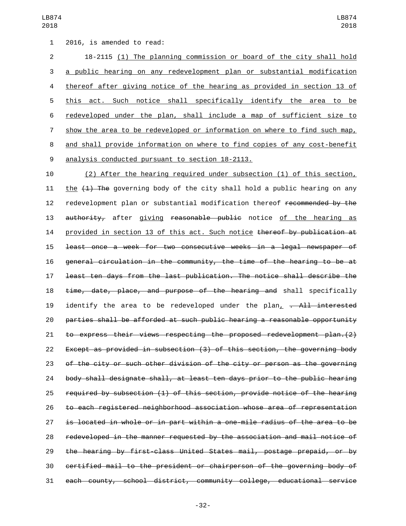1 2016, is amended to read:

 18-2115 (1) The planning commission or board of the city shall hold a public hearing on any redevelopment plan or substantial modification thereof after giving notice of the hearing as provided in section 13 of this act. Such notice shall specifically identify the area to be redeveloped under the plan, shall include a map of sufficient size to show the area to be redeveloped or information on where to find such map, and shall provide information on where to find copies of any cost-benefit 9 analysis conducted pursuant to section 18-2113.

 (2) After the hearing required under subsection (1) of this section, 11 the  $(1)$  The governing body of the city shall hold a public hearing on any 12 redevelopment plan or substantial modification thereof recommended by the 13 authority, after giving reasonable public notice of the hearing as 14 provided in section 13 of this act. Such notice thereof by publication at least once a week for two consecutive weeks in a legal newspaper of general circulation in the community, the time of the hearing to be at least ten days from the last publication. The notice shall describe the time, date, place, and purpose of the hearing and shall specifically 19 identify the area to be redeveloped under the plan,  $-.$  All interested parties shall be afforded at such public hearing a reasonable opportunity to express their views respecting the proposed redevelopment plan.(2) Except as provided in subsection (3) of this section, the governing body of the city or such other division of the city or person as the governing body shall designate shall, at least ten days prior to the public hearing required by subsection (1) of this section, provide notice of the hearing to each registered neighborhood association whose area of representation is located in whole or in part within a one-mile radius of the area to be redeveloped in the manner requested by the association and mail notice of the hearing by first-class United States mail, postage prepaid, or by certified mail to the president or chairperson of the governing body of each county, school district, community college, educational service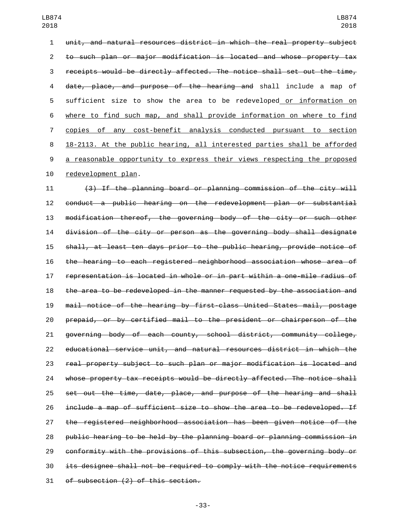unit, and natural resources district in which the real property subject to such plan or major modification is located and whose property tax receipts would be directly affected. The notice shall set out the time, date, place, and purpose of the hearing and shall include a map of sufficient size to show the area to be redeveloped or information on where to find such map, and shall provide information on where to find copies of any cost-benefit analysis conducted pursuant to section 18-2113. At the public hearing, all interested parties shall be afforded a reasonable opportunity to express their views respecting the proposed 10 redevelopment plan.

 (3) If the planning board or planning commission of the city will conduct a public hearing on the redevelopment plan or substantial modification thereof, the governing body of the city or such other division of the city or person as the governing body shall designate shall, at least ten days prior to the public hearing, provide notice of the hearing to each registered neighborhood association whose area of representation is located in whole or in part within a one-mile radius of the area to be redeveloped in the manner requested by the association and mail notice of the hearing by first-class United States mail, postage prepaid, or by certified mail to the president or chairperson of the governing body of each county, school district, community college, educational service unit, and natural resources district in which the real property subject to such plan or major modification is located and whose property tax receipts would be directly affected. The notice shall 25 set out the time, date, place, and purpose of the hearing and shall include a map of sufficient size to show the area to be redeveloped. If the registered neighborhood association has been given notice of the public hearing to be held by the planning board or planning commission in conformity with the provisions of this subsection, the governing body or its designee shall not be required to comply with the notice requirements 31 of subsection (2) of this section.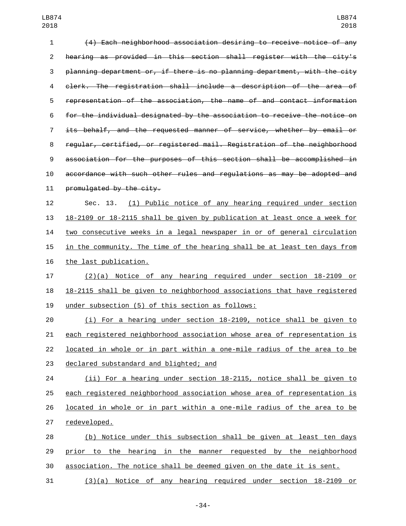(4) Each neighborhood association desiring to receive notice of any hearing as provided in this section shall register with the city's planning department or, if there is no planning department, with the city clerk. The registration shall include a description of the area of representation of the association, the name of and contact information for the individual designated by the association to receive the notice on its behalf, and the requested manner of service, whether by email or regular, certified, or registered mail. Registration of the neighborhood association for the purposes of this section shall be accomplished in accordance with such other rules and regulations as may be adopted and 11 promulgated by the city. Sec. 13. (1) Public notice of any hearing required under section

 18-2109 or 18-2115 shall be given by publication at least once a week for two consecutive weeks in a legal newspaper in or of general circulation in the community. The time of the hearing shall be at least ten days from 16 the last publication.

 (2)(a) Notice of any hearing required under section 18-2109 or 18-2115 shall be given to neighborhood associations that have registered 19 under subsection (5) of this section as follows:

 (i) For a hearing under section 18-2109, notice shall be given to each registered neighborhood association whose area of representation is located in whole or in part within a one-mile radius of the area to be 23 declared substandard and blighted; and

 (ii) For a hearing under section 18-2115, notice shall be given to each registered neighborhood association whose area of representation is located in whole or in part within a one-mile radius of the area to be 27 redeveloped.

 (b) Notice under this subsection shall be given at least ten days prior to the hearing in the manner requested by the neighborhood association. The notice shall be deemed given on the date it is sent.

(3)(a) Notice of any hearing required under section 18-2109 or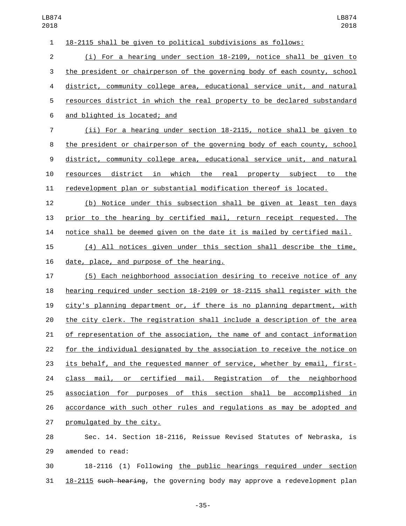18-2115 shall be given to political subdivisions as follows: (i) For a hearing under section 18-2109, notice shall be given to the president or chairperson of the governing body of each county, school district, community college area, educational service unit, and natural resources district in which the real property to be declared substandard and blighted is located; and6 (ii) For a hearing under section 18-2115, notice shall be given to the president or chairperson of the governing body of each county, school district, community college area, educational service unit, and natural resources district in which the real property subject to the redevelopment plan or substantial modification thereof is located. (b) Notice under this subsection shall be given at least ten days prior to the hearing by certified mail, return receipt requested. The notice shall be deemed given on the date it is mailed by certified mail. (4) All notices given under this section shall describe the time, 16 date, place, and purpose of the hearing. (5) Each neighborhood association desiring to receive notice of any hearing required under section 18-2109 or 18-2115 shall register with the city's planning department or, if there is no planning department, with the city clerk. The registration shall include a description of the area of representation of the association, the name of and contact information for the individual designated by the association to receive the notice on its behalf, and the requested manner of service, whether by email, first- class mail, or certified mail. Registration of the neighborhood association for purposes of this section shall be accomplished in accordance with such other rules and regulations as may be adopted and 27 promulgated by the city. Sec. 14. Section 18-2116, Reissue Revised Statutes of Nebraska, is

29 amended to read:

 18-2116 (1) Following the public hearings required under section 18-2115 such hearing, the governing body may approve a redevelopment plan

-35-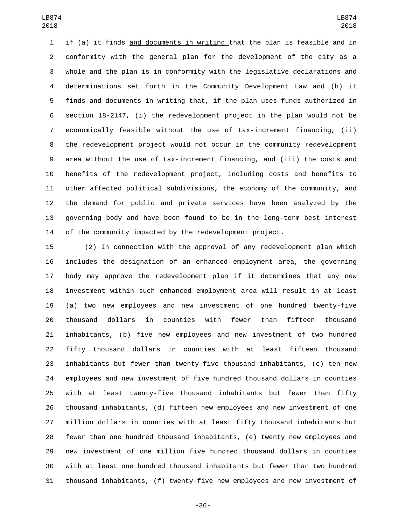if (a) it finds and documents in writing that the plan is feasible and in conformity with the general plan for the development of the city as a whole and the plan is in conformity with the legislative declarations and determinations set forth in the Community Development Law and (b) it finds and documents in writing that, if the plan uses funds authorized in section 18-2147, (i) the redevelopment project in the plan would not be economically feasible without the use of tax-increment financing, (ii) the redevelopment project would not occur in the community redevelopment area without the use of tax-increment financing, and (iii) the costs and benefits of the redevelopment project, including costs and benefits to other affected political subdivisions, the economy of the community, and the demand for public and private services have been analyzed by the governing body and have been found to be in the long-term best interest of the community impacted by the redevelopment project.

 (2) In connection with the approval of any redevelopment plan which includes the designation of an enhanced employment area, the governing body may approve the redevelopment plan if it determines that any new investment within such enhanced employment area will result in at least (a) two new employees and new investment of one hundred twenty-five thousand dollars in counties with fewer than fifteen thousand inhabitants, (b) five new employees and new investment of two hundred fifty thousand dollars in counties with at least fifteen thousand inhabitants but fewer than twenty-five thousand inhabitants, (c) ten new employees and new investment of five hundred thousand dollars in counties with at least twenty-five thousand inhabitants but fewer than fifty thousand inhabitants, (d) fifteen new employees and new investment of one million dollars in counties with at least fifty thousand inhabitants but fewer than one hundred thousand inhabitants, (e) twenty new employees and new investment of one million five hundred thousand dollars in counties with at least one hundred thousand inhabitants but fewer than two hundred thousand inhabitants, (f) twenty-five new employees and new investment of

-36-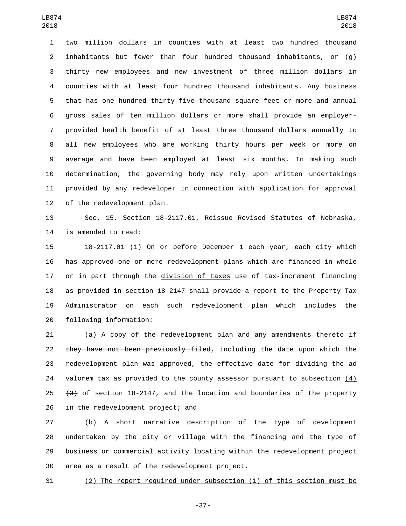two million dollars in counties with at least two hundred thousand inhabitants but fewer than four hundred thousand inhabitants, or (g) thirty new employees and new investment of three million dollars in counties with at least four hundred thousand inhabitants. Any business that has one hundred thirty-five thousand square feet or more and annual gross sales of ten million dollars or more shall provide an employer- provided health benefit of at least three thousand dollars annually to all new employees who are working thirty hours per week or more on average and have been employed at least six months. In making such determination, the governing body may rely upon written undertakings provided by any redeveloper in connection with application for approval 12 of the redevelopment plan.

 Sec. 15. Section 18-2117.01, Reissue Revised Statutes of Nebraska, 14 is amended to read:

 18-2117.01 (1) On or before December 1 each year, each city which has approved one or more redevelopment plans which are financed in whole 17 or in part through the division of taxes use of tax-increment financing as provided in section 18-2147 shall provide a report to the Property Tax Administrator on each such redevelopment plan which includes the 20 following information:

21 (a) A copy of the redevelopment plan and any amendments thereto $-i$ f 22 they have not been previously filed, including the date upon which the redevelopment plan was approved, the effective date for dividing the ad valorem tax as provided to the county assessor pursuant to subsection (4) 25  $(3)$  of section 18-2147, and the location and boundaries of the property 26 in the redevelopment project; and

 (b) A short narrative description of the type of development undertaken by the city or village with the financing and the type of business or commercial activity locating within the redevelopment project 30 area as a result of the redevelopment project.

(2) The report required under subsection (1) of this section must be

-37-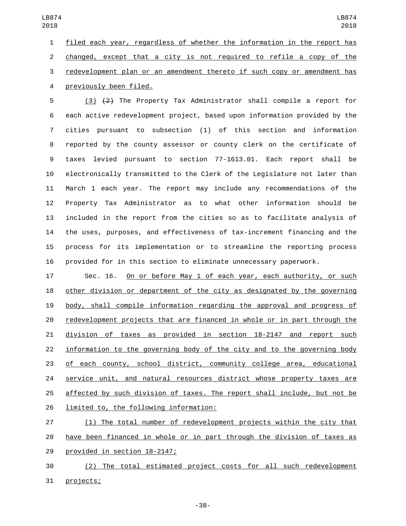filed each year, regardless of whether the information in the report has changed, except that a city is not required to refile a copy of the redevelopment plan or an amendment thereto if such copy or amendment has previously been filed.4

 (3) (2) The Property Tax Administrator shall compile a report for each active redevelopment project, based upon information provided by the cities pursuant to subsection (1) of this section and information reported by the county assessor or county clerk on the certificate of taxes levied pursuant to section 77-1613.01. Each report shall be electronically transmitted to the Clerk of the Legislature not later than March 1 each year. The report may include any recommendations of the Property Tax Administrator as to what other information should be included in the report from the cities so as to facilitate analysis of the uses, purposes, and effectiveness of tax-increment financing and the process for its implementation or to streamline the reporting process provided for in this section to eliminate unnecessary paperwork.

 Sec. 16. On or before May 1 of each year, each authority, or such other division or department of the city as designated by the governing body, shall compile information regarding the approval and progress of redevelopment projects that are financed in whole or in part through the division of taxes as provided in section 18-2147 and report such information to the governing body of the city and to the governing body of each county, school district, community college area, educational service unit, and natural resources district whose property taxes are affected by such division of taxes. The report shall include, but not be 26 limited to, the following information:

 (1) The total number of redevelopment projects within the city that have been financed in whole or in part through the division of taxes as 29 provided in section 18-2147;

 (2) The total estimated project costs for all such redevelopment 31 projects;

-38-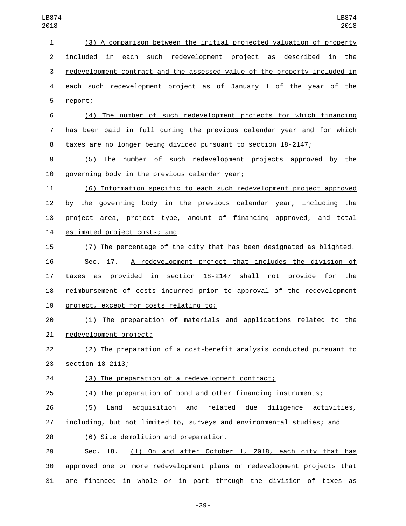| 1              | (3) A comparison between the initial projected valuation of property      |
|----------------|---------------------------------------------------------------------------|
| $\overline{c}$ | included in each such redevelopment project as described in the           |
| 3              | redevelopment contract and the assessed value of the property included in |
| 4              | each such redevelopment project as of January 1 of the year of the        |
| 5              | report;                                                                   |
| 6              | (4) The number of such redevelopment projects for which financing         |
| 7              | has been paid in full during the previous calendar year and for which     |
| 8              | taxes are no longer being divided pursuant to section 18-2147;            |
| 9              | The number of such redevelopment projects approved<br>(5)<br>by the       |
| 10             | governing body in the previous calendar year;                             |
| 11             | (6) Information specific to each such redevelopment project approved      |
| 12             | by the governing body in the previous calendar year, including the        |
| 13             | project area, project type, amount of financing approved, and total       |
| 14             | estimated project costs; and                                              |
| 15             | (7) The percentage of the city that has been designated as blighted.      |
| 16             | A redevelopment project that includes the division of<br>Sec. 17.         |
| 17             | taxes as provided in section 18-2147 shall not provide for the            |
| 18             | reimbursement of costs incurred prior to approval of the redevelopment    |
| 19             | project, except for costs relating to:                                    |
| 20             | (1) The preparation of materials and applications related to the          |
| 21             | redevelopment project;                                                    |
| 22             | (2) The preparation of a cost-benefit analysis conducted pursuant to      |
| 23             | section 18-2113;                                                          |
| 24             | (3) The preparation of a redevelopment contract;                          |
| 25             | (4) The preparation of bond and other financing instruments;              |
| 26             | (5) Land acquisition and related due diligence activities,                |
| 27             | including, but not limited to, surveys and environmental studies; and     |
| 28             | (6) Site demolition and preparation.                                      |
| 29             | (1) On and after October 1, 2018, each city that has<br>Sec. 18.          |
| 30             | approved one or more redevelopment plans or redevelopment projects that   |
| 31             | are financed in whole or in part through the division of taxes as         |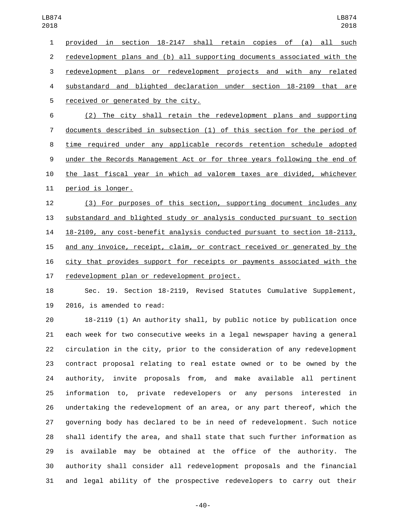provided in section 18-2147 shall retain copies of (a) all such redevelopment plans and (b) all supporting documents associated with the redevelopment plans or redevelopment projects and with any related substandard and blighted declaration under section 18-2109 that are 5 received or generated by the city.

 (2) The city shall retain the redevelopment plans and supporting documents described in subsection (1) of this section for the period of time required under any applicable records retention schedule adopted under the Records Management Act or for three years following the end of the last fiscal year in which ad valorem taxes are divided, whichever 11 period is longer.

 (3) For purposes of this section, supporting document includes any substandard and blighted study or analysis conducted pursuant to section 18-2109, any cost-benefit analysis conducted pursuant to section 18-2113, and any invoice, receipt, claim, or contract received or generated by the city that provides support for receipts or payments associated with the 17 redevelopment plan or redevelopment project.

 Sec. 19. Section 18-2119, Revised Statutes Cumulative Supplement, 19 2016, is amended to read:

 18-2119 (1) An authority shall, by public notice by publication once each week for two consecutive weeks in a legal newspaper having a general circulation in the city, prior to the consideration of any redevelopment contract proposal relating to real estate owned or to be owned by the authority, invite proposals from, and make available all pertinent information to, private redevelopers or any persons interested in undertaking the redevelopment of an area, or any part thereof, which the governing body has declared to be in need of redevelopment. Such notice shall identify the area, and shall state that such further information as is available may be obtained at the office of the authority. The authority shall consider all redevelopment proposals and the financial and legal ability of the prospective redevelopers to carry out their

-40-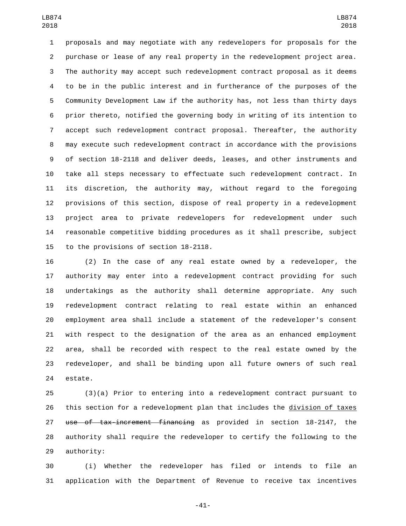proposals and may negotiate with any redevelopers for proposals for the purchase or lease of any real property in the redevelopment project area. The authority may accept such redevelopment contract proposal as it deems to be in the public interest and in furtherance of the purposes of the Community Development Law if the authority has, not less than thirty days prior thereto, notified the governing body in writing of its intention to accept such redevelopment contract proposal. Thereafter, the authority may execute such redevelopment contract in accordance with the provisions of section 18-2118 and deliver deeds, leases, and other instruments and take all steps necessary to effectuate such redevelopment contract. In its discretion, the authority may, without regard to the foregoing provisions of this section, dispose of real property in a redevelopment project area to private redevelopers for redevelopment under such reasonable competitive bidding procedures as it shall prescribe, subject 15 to the provisions of section 18-2118.

 (2) In the case of any real estate owned by a redeveloper, the authority may enter into a redevelopment contract providing for such undertakings as the authority shall determine appropriate. Any such redevelopment contract relating to real estate within an enhanced employment area shall include a statement of the redeveloper's consent with respect to the designation of the area as an enhanced employment area, shall be recorded with respect to the real estate owned by the redeveloper, and shall be binding upon all future owners of such real 24 estate.

 (3)(a) Prior to entering into a redevelopment contract pursuant to this section for a redevelopment plan that includes the division of taxes use of tax-increment financing as provided in section 18-2147, the authority shall require the redeveloper to certify the following to the 29 authority:

 (i) Whether the redeveloper has filed or intends to file an application with the Department of Revenue to receive tax incentives

-41-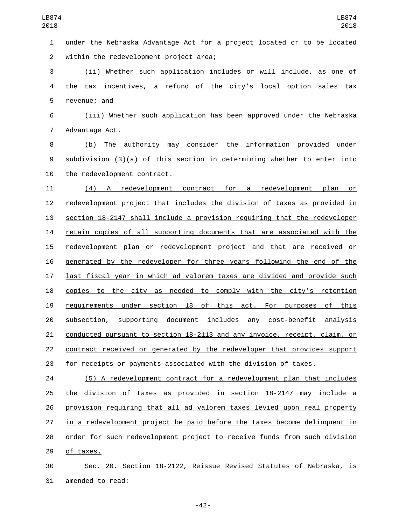under the Nebraska Advantage Act for a project located or to be located 2 within the redevelopment project area;

 (ii) Whether such application includes or will include, as one of the tax incentives, a refund of the city's local option sales tax 5 revenue; and

 (iii) Whether such application has been approved under the Nebraska 7 Advantage Act.

 (b) The authority may consider the information provided under subdivision (3)(a) of this section in determining whether to enter into 10 the redevelopment contract.

 (4) A redevelopment contract for a redevelopment plan or redevelopment project that includes the division of taxes as provided in section 18-2147 shall include a provision requiring that the redeveloper retain copies of all supporting documents that are associated with the redevelopment plan or redevelopment project and that are received or generated by the redeveloper for three years following the end of the last fiscal year in which ad valorem taxes are divided and provide such 18 copies to the city as needed to comply with the city's retention requirements under section 18 of this act. For purposes of this subsection, supporting document includes any cost-benefit analysis conducted pursuant to section 18-2113 and any invoice, receipt, claim, or contract received or generated by the redeveloper that provides support for receipts or payments associated with the division of taxes.

 (5) A redevelopment contract for a redevelopment plan that includes the division of taxes as provided in section 18-2147 may include a provision requiring that all ad valorem taxes levied upon real property in a redevelopment project be paid before the taxes become delinquent in order for such redevelopment project to receive funds from such division 29 of taxes.

 Sec. 20. Section 18-2122, Reissue Revised Statutes of Nebraska, is 31 amended to read:

-42-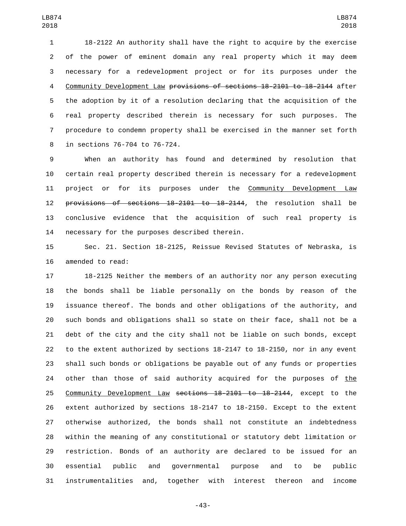18-2122 An authority shall have the right to acquire by the exercise of the power of eminent domain any real property which it may deem necessary for a redevelopment project or for its purposes under the Community Development Law provisions of sections 18-2101 to 18-2144 after the adoption by it of a resolution declaring that the acquisition of the real property described therein is necessary for such purposes. The procedure to condemn property shall be exercised in the manner set forth 8 in sections 76-704 to 76-724.

 When an authority has found and determined by resolution that certain real property described therein is necessary for a redevelopment 11 project or for its purposes under the Community Development Law provisions of sections 18-2101 to 18-2144, the resolution shall be conclusive evidence that the acquisition of such real property is 14 necessary for the purposes described therein.

 Sec. 21. Section 18-2125, Reissue Revised Statutes of Nebraska, is 16 amended to read:

 18-2125 Neither the members of an authority nor any person executing the bonds shall be liable personally on the bonds by reason of the issuance thereof. The bonds and other obligations of the authority, and such bonds and obligations shall so state on their face, shall not be a debt of the city and the city shall not be liable on such bonds, except to the extent authorized by sections 18-2147 to 18-2150, nor in any event shall such bonds or obligations be payable out of any funds or properties other than those of said authority acquired for the purposes of the Community Development Law sections 18-2101 to 18-2144, except to the extent authorized by sections 18-2147 to 18-2150. Except to the extent otherwise authorized, the bonds shall not constitute an indebtedness within the meaning of any constitutional or statutory debt limitation or restriction. Bonds of an authority are declared to be issued for an essential public and governmental purpose and to be public instrumentalities and, together with interest thereon and income

-43-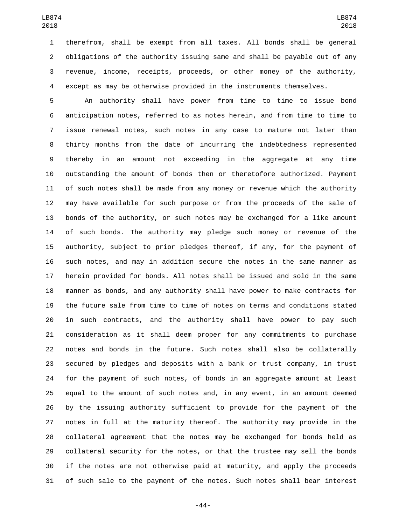therefrom, shall be exempt from all taxes. All bonds shall be general obligations of the authority issuing same and shall be payable out of any revenue, income, receipts, proceeds, or other money of the authority, except as may be otherwise provided in the instruments themselves.

 An authority shall have power from time to time to issue bond anticipation notes, referred to as notes herein, and from time to time to issue renewal notes, such notes in any case to mature not later than thirty months from the date of incurring the indebtedness represented thereby in an amount not exceeding in the aggregate at any time outstanding the amount of bonds then or theretofore authorized. Payment of such notes shall be made from any money or revenue which the authority may have available for such purpose or from the proceeds of the sale of bonds of the authority, or such notes may be exchanged for a like amount of such bonds. The authority may pledge such money or revenue of the authority, subject to prior pledges thereof, if any, for the payment of such notes, and may in addition secure the notes in the same manner as herein provided for bonds. All notes shall be issued and sold in the same manner as bonds, and any authority shall have power to make contracts for the future sale from time to time of notes on terms and conditions stated in such contracts, and the authority shall have power to pay such consideration as it shall deem proper for any commitments to purchase notes and bonds in the future. Such notes shall also be collaterally secured by pledges and deposits with a bank or trust company, in trust for the payment of such notes, of bonds in an aggregate amount at least equal to the amount of such notes and, in any event, in an amount deemed by the issuing authority sufficient to provide for the payment of the notes in full at the maturity thereof. The authority may provide in the collateral agreement that the notes may be exchanged for bonds held as collateral security for the notes, or that the trustee may sell the bonds if the notes are not otherwise paid at maturity, and apply the proceeds of such sale to the payment of the notes. Such notes shall bear interest

-44-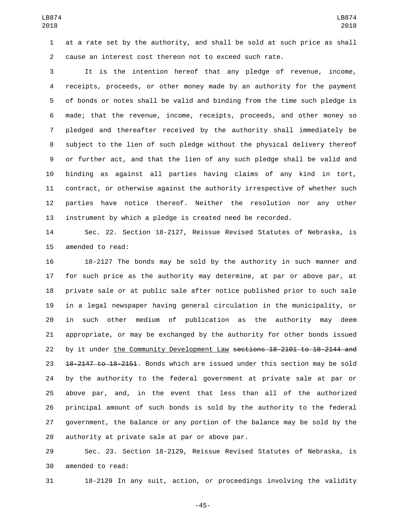at a rate set by the authority, and shall be sold at such price as shall cause an interest cost thereon not to exceed such rate.

 It is the intention hereof that any pledge of revenue, income, receipts, proceeds, or other money made by an authority for the payment of bonds or notes shall be valid and binding from the time such pledge is made; that the revenue, income, receipts, proceeds, and other money so pledged and thereafter received by the authority shall immediately be subject to the lien of such pledge without the physical delivery thereof or further act, and that the lien of any such pledge shall be valid and binding as against all parties having claims of any kind in tort, contract, or otherwise against the authority irrespective of whether such parties have notice thereof. Neither the resolution nor any other instrument by which a pledge is created need be recorded.

 Sec. 22. Section 18-2127, Reissue Revised Statutes of Nebraska, is 15 amended to read:

 18-2127 The bonds may be sold by the authority in such manner and for such price as the authority may determine, at par or above par, at private sale or at public sale after notice published prior to such sale in a legal newspaper having general circulation in the municipality, or in such other medium of publication as the authority may deem appropriate, or may be exchanged by the authority for other bonds issued by it under the Community Development Law sections 18-2101 to 18-2144 and 23 <del>18-2147 to 18-2151</del>. Bonds which are issued under this section may be sold by the authority to the federal government at private sale at par or above par, and, in the event that less than all of the authorized principal amount of such bonds is sold by the authority to the federal government, the balance or any portion of the balance may be sold by the 28 authority at private sale at par or above par.

 Sec. 23. Section 18-2129, Reissue Revised Statutes of Nebraska, is 30 amended to read:

18-2129 In any suit, action, or proceedings involving the validity

-45-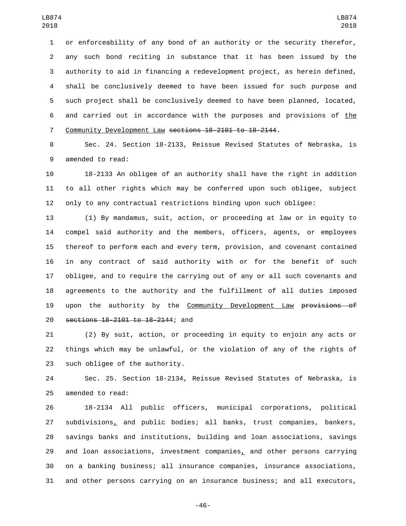or enforceability of any bond of an authority or the security therefor, any such bond reciting in substance that it has been issued by the authority to aid in financing a redevelopment project, as herein defined, shall be conclusively deemed to have been issued for such purpose and such project shall be conclusively deemed to have been planned, located, and carried out in accordance with the purposes and provisions of the Community Development Law sections 18-2101 to 18-2144.

 Sec. 24. Section 18-2133, Reissue Revised Statutes of Nebraska, is 9 amended to read:

 18-2133 An obligee of an authority shall have the right in addition to all other rights which may be conferred upon such obligee, subject only to any contractual restrictions binding upon such obligee:

 (1) By mandamus, suit, action, or proceeding at law or in equity to compel said authority and the members, officers, agents, or employees thereof to perform each and every term, provision, and covenant contained in any contract of said authority with or for the benefit of such obligee, and to require the carrying out of any or all such covenants and agreements to the authority and the fulfillment of all duties imposed 19 upon the authority by the Community Development Law provisions of 20 sections 18-2101 to 18-2144; and

 (2) By suit, action, or proceeding in equity to enjoin any acts or things which may be unlawful, or the violation of any of the rights of 23 such obligee of the authority.

 Sec. 25. Section 18-2134, Reissue Revised Statutes of Nebraska, is 25 amended to read:

 18-2134 All public officers, municipal corporations, political subdivisions, and public bodies; all banks, trust companies, bankers, savings banks and institutions, building and loan associations, savings 29 and loan associations, investment companies, and other persons carrying on a banking business; all insurance companies, insurance associations, and other persons carrying on an insurance business; and all executors,

-46-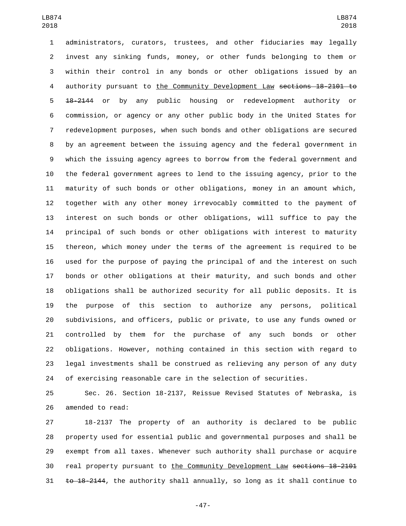administrators, curators, trustees, and other fiduciaries may legally invest any sinking funds, money, or other funds belonging to them or within their control in any bonds or other obligations issued by an 4 authority pursuant to the Community Development Law sections 18-2101 to 18-2144 or by any public housing or redevelopment authority or commission, or agency or any other public body in the United States for redevelopment purposes, when such bonds and other obligations are secured by an agreement between the issuing agency and the federal government in which the issuing agency agrees to borrow from the federal government and the federal government agrees to lend to the issuing agency, prior to the maturity of such bonds or other obligations, money in an amount which, together with any other money irrevocably committed to the payment of interest on such bonds or other obligations, will suffice to pay the principal of such bonds or other obligations with interest to maturity thereon, which money under the terms of the agreement is required to be used for the purpose of paying the principal of and the interest on such bonds or other obligations at their maturity, and such bonds and other obligations shall be authorized security for all public deposits. It is the purpose of this section to authorize any persons, political subdivisions, and officers, public or private, to use any funds owned or controlled by them for the purchase of any such bonds or other obligations. However, nothing contained in this section with regard to legal investments shall be construed as relieving any person of any duty of exercising reasonable care in the selection of securities.

 Sec. 26. Section 18-2137, Reissue Revised Statutes of Nebraska, is 26 amended to read:

 18-2137 The property of an authority is declared to be public property used for essential public and governmental purposes and shall be exempt from all taxes. Whenever such authority shall purchase or acquire real property pursuant to the Community Development Law sections 18-2101  $t_0$  18-2144, the authority shall annually, so long as it shall continue to

-47-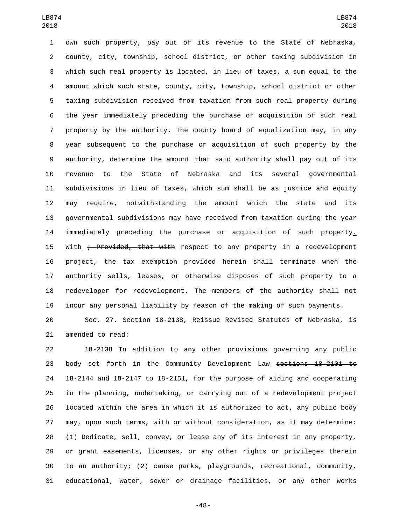own such property, pay out of its revenue to the State of Nebraska, county, city, township, school district, or other taxing subdivision in which such real property is located, in lieu of taxes, a sum equal to the amount which such state, county, city, township, school district or other taxing subdivision received from taxation from such real property during the year immediately preceding the purchase or acquisition of such real property by the authority. The county board of equalization may, in any year subsequent to the purchase or acquisition of such property by the authority, determine the amount that said authority shall pay out of its revenue to the State of Nebraska and its several governmental subdivisions in lieu of taxes, which sum shall be as justice and equity may require, notwithstanding the amount which the state and its governmental subdivisions may have received from taxation during the year immediately preceding the purchase or acquisition of such property. 15 With ; Provided, that with respect to any property in a redevelopment project, the tax exemption provided herein shall terminate when the authority sells, leases, or otherwise disposes of such property to a redeveloper for redevelopment. The members of the authority shall not incur any personal liability by reason of the making of such payments.

 Sec. 27. Section 18-2138, Reissue Revised Statutes of Nebraska, is 21 amended to read:

 18-2138 In addition to any other provisions governing any public 23 body set forth in the Community Development Law sections 18-2101 to 18-2144 and 18-2147 to 18-2151, for the purpose of aiding and cooperating in the planning, undertaking, or carrying out of a redevelopment project located within the area in which it is authorized to act, any public body may, upon such terms, with or without consideration, as it may determine: (1) Dedicate, sell, convey, or lease any of its interest in any property, or grant easements, licenses, or any other rights or privileges therein to an authority; (2) cause parks, playgrounds, recreational, community, educational, water, sewer or drainage facilities, or any other works

-48-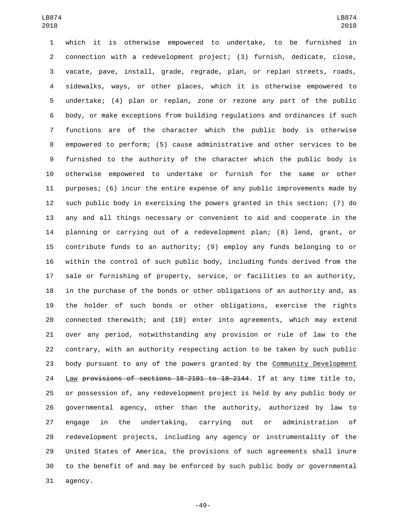which it is otherwise empowered to undertake, to be furnished in connection with a redevelopment project; (3) furnish, dedicate, close, vacate, pave, install, grade, regrade, plan, or replan streets, roads, sidewalks, ways, or other places, which it is otherwise empowered to undertake; (4) plan or replan, zone or rezone any part of the public body, or make exceptions from building regulations and ordinances if such functions are of the character which the public body is otherwise empowered to perform; (5) cause administrative and other services to be furnished to the authority of the character which the public body is otherwise empowered to undertake or furnish for the same or other purposes; (6) incur the entire expense of any public improvements made by such public body in exercising the powers granted in this section; (7) do any and all things necessary or convenient to aid and cooperate in the planning or carrying out of a redevelopment plan; (8) lend, grant, or contribute funds to an authority; (9) employ any funds belonging to or within the control of such public body, including funds derived from the sale or furnishing of property, service, or facilities to an authority, in the purchase of the bonds or other obligations of an authority and, as the holder of such bonds or other obligations, exercise the rights connected therewith; and (10) enter into agreements, which may extend over any period, notwithstanding any provision or rule of law to the contrary, with an authority respecting action to be taken by such public body pursuant to any of the powers granted by the Community Development Law provisions of sections 18-2101 to 18-2144. If at any time title to, or possession of, any redevelopment project is held by any public body or governmental agency, other than the authority, authorized by law to engage in the undertaking, carrying out or administration of redevelopment projects, including any agency or instrumentality of the United States of America, the provisions of such agreements shall inure to the benefit of and may be enforced by such public body or governmental 31 agency.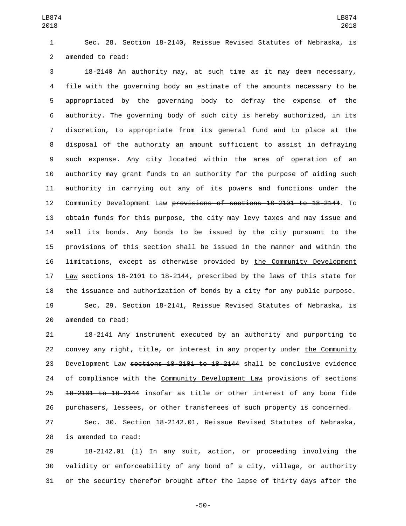Sec. 28. Section 18-2140, Reissue Revised Statutes of Nebraska, is 2 amended to read:

 18-2140 An authority may, at such time as it may deem necessary, file with the governing body an estimate of the amounts necessary to be appropriated by the governing body to defray the expense of the authority. The governing body of such city is hereby authorized, in its discretion, to appropriate from its general fund and to place at the disposal of the authority an amount sufficient to assist in defraying such expense. Any city located within the area of operation of an authority may grant funds to an authority for the purpose of aiding such authority in carrying out any of its powers and functions under the Community Development Law provisions of sections 18-2101 to 18-2144. To obtain funds for this purpose, the city may levy taxes and may issue and sell its bonds. Any bonds to be issued by the city pursuant to the provisions of this section shall be issued in the manner and within the limitations, except as otherwise provided by the Community Development Law sections 18-2101 to 18-2144, prescribed by the laws of this state for the issuance and authorization of bonds by a city for any public purpose. Sec. 29. Section 18-2141, Reissue Revised Statutes of Nebraska, is

20 amended to read:

 18-2141 Any instrument executed by an authority and purporting to 22 convey any right, title, or interest in any property under the Community 23 Development Law sections 18-2101 to 18-2144 shall be conclusive evidence 24 of compliance with the Community Development Law provisions of sections 25 <del>18-2101 to 18-2144</del> insofar as title or other interest of any bona fide purchasers, lessees, or other transferees of such property is concerned.

 Sec. 30. Section 18-2142.01, Reissue Revised Statutes of Nebraska, 28 is amended to read:

 18-2142.01 (1) In any suit, action, or proceeding involving the validity or enforceability of any bond of a city, village, or authority or the security therefor brought after the lapse of thirty days after the

-50-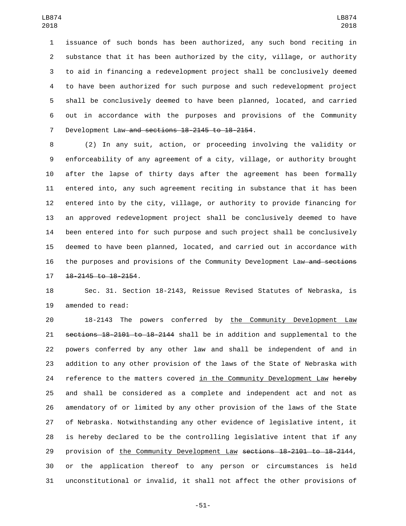issuance of such bonds has been authorized, any such bond reciting in substance that it has been authorized by the city, village, or authority to aid in financing a redevelopment project shall be conclusively deemed to have been authorized for such purpose and such redevelopment project shall be conclusively deemed to have been planned, located, and carried out in accordance with the purposes and provisions of the Community 7 Development Law and sections 18-2145 to 18-2154.

 (2) In any suit, action, or proceeding involving the validity or enforceability of any agreement of a city, village, or authority brought after the lapse of thirty days after the agreement has been formally entered into, any such agreement reciting in substance that it has been entered into by the city, village, or authority to provide financing for an approved redevelopment project shall be conclusively deemed to have been entered into for such purpose and such project shall be conclusively deemed to have been planned, located, and carried out in accordance with 16 the purposes and provisions of the Community Development Law and sections 17 18-2145 to 18-2154.

 Sec. 31. Section 18-2143, Reissue Revised Statutes of Nebraska, is 19 amended to read:

20 18-2143 The powers conferred by the Community Development Law sections 18-2101 to 18-2144 shall be in addition and supplemental to the powers conferred by any other law and shall be independent of and in addition to any other provision of the laws of the State of Nebraska with 24 reference to the matters covered in the Community Development Law hereby and shall be considered as a complete and independent act and not as amendatory of or limited by any other provision of the laws of the State of Nebraska. Notwithstanding any other evidence of legislative intent, it is hereby declared to be the controlling legislative intent that if any 29 provision of the Community Development Law sections 18-2101 to 18-2144, or the application thereof to any person or circumstances is held unconstitutional or invalid, it shall not affect the other provisions of

-51-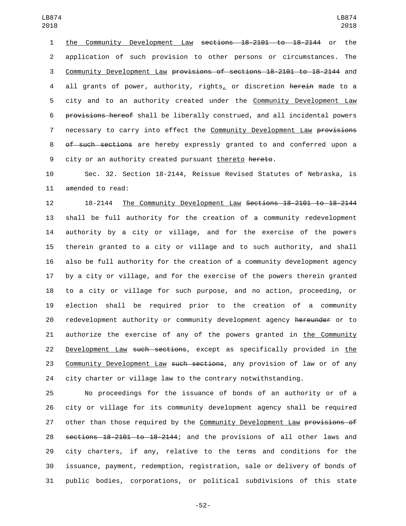the Community Development Law sections 18-2101 to 18-2144 or the application of such provision to other persons or circumstances. The Community Development Law provisions of sections 18-2101 to 18-2144 and 4 all grants of power, authority, rights, or discretion herein made to a 5 city and to an authority created under the Community Development Law provisions hereof shall be liberally construed, and all incidental powers 7 necessary to carry into effect the Community Development Law provisions 8 of such sections are hereby expressly granted to and conferred upon a city or an authority created pursuant thereto hereto.

 Sec. 32. Section 18-2144, Reissue Revised Statutes of Nebraska, is 11 amended to read:

 18-2144 The Community Development Law Sections 18-2101 to 18-2144 shall be full authority for the creation of a community redevelopment authority by a city or village, and for the exercise of the powers therein granted to a city or village and to such authority, and shall also be full authority for the creation of a community development agency by a city or village, and for the exercise of the powers therein granted to a city or village for such purpose, and no action, proceeding, or election shall be required prior to the creation of a community 20 redevelopment authority or community development agency hereunder or to authorize the exercise of any of the powers granted in the Community 22 Development Law such sections, except as specifically provided in the 23 Community Development Law such sections, any provision of law or of any city charter or village law to the contrary notwithstanding.

 No proceedings for the issuance of bonds of an authority or of a city or village for its community development agency shall be required 27 other than those required by the Community Development Law provisions of sections 18-2101 to 18-2144; and the provisions of all other laws and city charters, if any, relative to the terms and conditions for the issuance, payment, redemption, registration, sale or delivery of bonds of public bodies, corporations, or political subdivisions of this state

-52-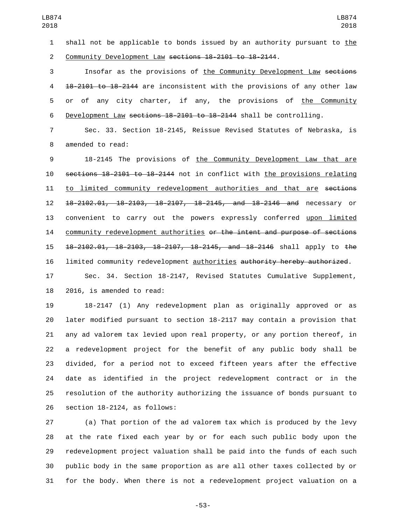shall not be applicable to bonds issued by an authority pursuant to the Community Development Law sections 18-2101 to 18-2144.

 Insofar as the provisions of the Community Development Law sections 18-2101 to 18-2144 are inconsistent with the provisions of any other law or of any city charter, if any, the provisions of the Community Development Law sections 18-2101 to 18-2144 shall be controlling.

 Sec. 33. Section 18-2145, Reissue Revised Statutes of Nebraska, is 8 amended to read:

 18-2145 The provisions of the Community Development Law that are sections 18-2101 to 18-2144 not in conflict with the provisions relating 11 to limited community redevelopment authorities and that are sections 18-2102.01, 18-2103, 18-2107, 18-2145, and 18-2146 and necessary or convenient to carry out the powers expressly conferred upon limited 14 community redevelopment authorities or the intent and purpose of sections 18-2102.01, 18-2103, 18-2107, 18-2145, and 18-2146 shall apply to the limited community redevelopment authorities authority hereby authorized.

 Sec. 34. Section 18-2147, Revised Statutes Cumulative Supplement, 2016, is amended to read:

 18-2147 (1) Any redevelopment plan as originally approved or as later modified pursuant to section 18-2117 may contain a provision that any ad valorem tax levied upon real property, or any portion thereof, in a redevelopment project for the benefit of any public body shall be divided, for a period not to exceed fifteen years after the effective date as identified in the project redevelopment contract or in the resolution of the authority authorizing the issuance of bonds pursuant to section  $18-2124$ , as follows:

 (a) That portion of the ad valorem tax which is produced by the levy at the rate fixed each year by or for each such public body upon the redevelopment project valuation shall be paid into the funds of each such public body in the same proportion as are all other taxes collected by or for the body. When there is not a redevelopment project valuation on a

-53-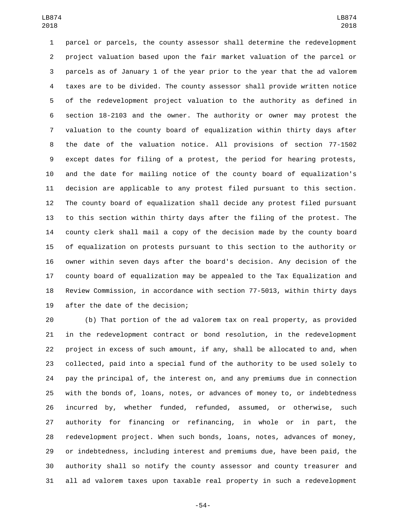parcel or parcels, the county assessor shall determine the redevelopment project valuation based upon the fair market valuation of the parcel or parcels as of January 1 of the year prior to the year that the ad valorem taxes are to be divided. The county assessor shall provide written notice of the redevelopment project valuation to the authority as defined in section 18-2103 and the owner. The authority or owner may protest the valuation to the county board of equalization within thirty days after the date of the valuation notice. All provisions of section 77-1502 except dates for filing of a protest, the period for hearing protests, and the date for mailing notice of the county board of equalization's decision are applicable to any protest filed pursuant to this section. The county board of equalization shall decide any protest filed pursuant to this section within thirty days after the filing of the protest. The county clerk shall mail a copy of the decision made by the county board of equalization on protests pursuant to this section to the authority or owner within seven days after the board's decision. Any decision of the county board of equalization may be appealed to the Tax Equalization and Review Commission, in accordance with section 77-5013, within thirty days 19 after the date of the decision;

 (b) That portion of the ad valorem tax on real property, as provided in the redevelopment contract or bond resolution, in the redevelopment project in excess of such amount, if any, shall be allocated to and, when collected, paid into a special fund of the authority to be used solely to pay the principal of, the interest on, and any premiums due in connection with the bonds of, loans, notes, or advances of money to, or indebtedness incurred by, whether funded, refunded, assumed, or otherwise, such authority for financing or refinancing, in whole or in part, the redevelopment project. When such bonds, loans, notes, advances of money, or indebtedness, including interest and premiums due, have been paid, the authority shall so notify the county assessor and county treasurer and all ad valorem taxes upon taxable real property in such a redevelopment

-54-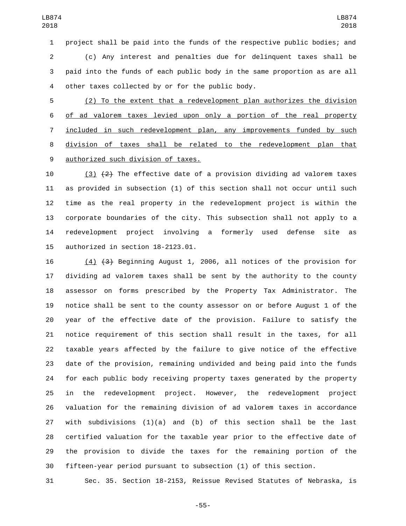project shall be paid into the funds of the respective public bodies; and (c) Any interest and penalties due for delinquent taxes shall be paid into the funds of each public body in the same proportion as are all 4 other taxes collected by or for the public body.

 (2) To the extent that a redevelopment plan authorizes the division of ad valorem taxes levied upon only a portion of the real property included in such redevelopment plan, any improvements funded by such division of taxes shall be related to the redevelopment plan that 9 authorized such division of taxes.

10 (3)  $\{2\}$  The effective date of a provision dividing ad valorem taxes as provided in subsection (1) of this section shall not occur until such time as the real property in the redevelopment project is within the corporate boundaries of the city. This subsection shall not apply to a redevelopment project involving a formerly used defense site as 15 authorized in section  $18-2123.01$ .

 (4) (3) Beginning August 1, 2006, all notices of the provision for dividing ad valorem taxes shall be sent by the authority to the county assessor on forms prescribed by the Property Tax Administrator. The notice shall be sent to the county assessor on or before August 1 of the year of the effective date of the provision. Failure to satisfy the notice requirement of this section shall result in the taxes, for all taxable years affected by the failure to give notice of the effective date of the provision, remaining undivided and being paid into the funds for each public body receiving property taxes generated by the property in the redevelopment project. However, the redevelopment project valuation for the remaining division of ad valorem taxes in accordance with subdivisions (1)(a) and (b) of this section shall be the last certified valuation for the taxable year prior to the effective date of the provision to divide the taxes for the remaining portion of the fifteen-year period pursuant to subsection (1) of this section.

Sec. 35. Section 18-2153, Reissue Revised Statutes of Nebraska, is

-55-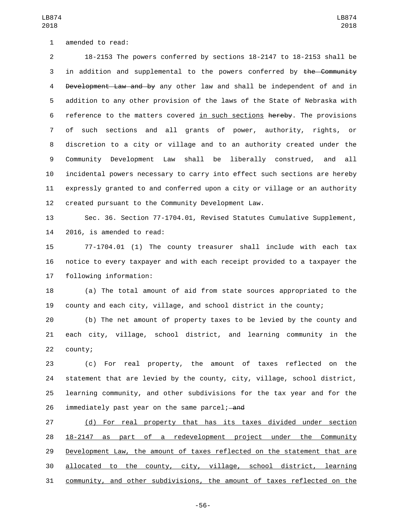1 amended to read:

LB874 

 18-2153 The powers conferred by sections 18-2147 to 18-2153 shall be 3 in addition and supplemental to the powers conferred by the Community 4 Development Law and by any other law and shall be independent of and in addition to any other provision of the laws of the State of Nebraska with reference to the matters covered in such sections hereby. The provisions of such sections and all grants of power, authority, rights, or discretion to a city or village and to an authority created under the Community Development Law shall be liberally construed, and all incidental powers necessary to carry into effect such sections are hereby expressly granted to and conferred upon a city or village or an authority created pursuant to the Community Development Law.

 Sec. 36. Section 77-1704.01, Revised Statutes Cumulative Supplement, 14 2016, is amended to read:

 77-1704.01 (1) The county treasurer shall include with each tax notice to every taxpayer and with each receipt provided to a taxpayer the 17 following information:

 (a) The total amount of aid from state sources appropriated to the county and each city, village, and school district in the county;

 (b) The net amount of property taxes to be levied by the county and each city, village, school district, and learning community in the 22 county;

 (c) For real property, the amount of taxes reflected on the statement that are levied by the county, city, village, school district, learning community, and other subdivisions for the tax year and for the 26 immediately past year on the same parcel; and

 (d) For real property that has its taxes divided under section 18-2147 as part of a redevelopment project under the Community 29 Development Law, the amount of taxes reflected on the statement that are allocated to the county, city, village, school district, learning community, and other subdivisions, the amount of taxes reflected on the